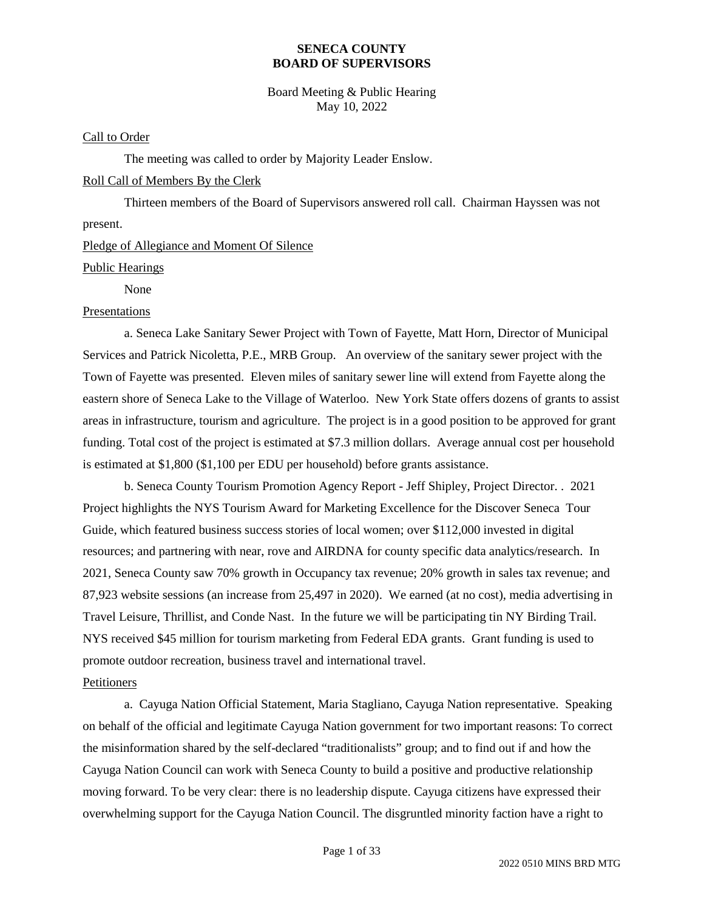Board Meeting & Public Hearing May 10, 2022

#### Call to Order

The meeting was called to order by Majority Leader Enslow.

### Roll Call of Members By the Clerk

Thirteen members of the Board of Supervisors answered roll call. Chairman Hayssen was not present.

### Pledge of Allegiance and Moment Of Silence

Public Hearings

None

### Presentations

a. Seneca Lake Sanitary Sewer Project with Town of Fayette, Matt Horn, Director of Municipal Services and Patrick Nicoletta, P.E., MRB Group. An overview of the sanitary sewer project with the Town of Fayette was presented. Eleven miles of sanitary sewer line will extend from Fayette along the eastern shore of Seneca Lake to the Village of Waterloo. New York State offers dozens of grants to assist areas in infrastructure, tourism and agriculture. The project is in a good position to be approved for grant funding. Total cost of the project is estimated at \$7.3 million dollars. Average annual cost per household is estimated at \$1,800 (\$1,100 per EDU per household) before grants assistance.

b. Seneca County Tourism Promotion Agency Report - Jeff Shipley, Project Director. . 2021 Project highlights the NYS Tourism Award for Marketing Excellence for the Discover Seneca Tour Guide, which featured business success stories of local women; over \$112,000 invested in digital resources; and partnering with near, rove and AIRDNA for county specific data analytics/research. In 2021, Seneca County saw 70% growth in Occupancy tax revenue; 20% growth in sales tax revenue; and 87,923 website sessions (an increase from 25,497 in 2020). We earned (at no cost), media advertising in Travel Leisure, Thrillist, and Conde Nast. In the future we will be participating tin NY Birding Trail. NYS received \$45 million for tourism marketing from Federal EDA grants. Grant funding is used to promote outdoor recreation, business travel and international travel.

### Petitioners

a. Cayuga Nation Official Statement, Maria Stagliano, Cayuga Nation representative. Speaking on behalf of the official and legitimate Cayuga Nation government for two important reasons: To correct the misinformation shared by the self-declared "traditionalists" group; and to find out if and how the Cayuga Nation Council can work with Seneca County to build a positive and productive relationship moving forward. To be very clear: there is no leadership dispute. Cayuga citizens have expressed their overwhelming support for the Cayuga Nation Council. The disgruntled minority faction have a right to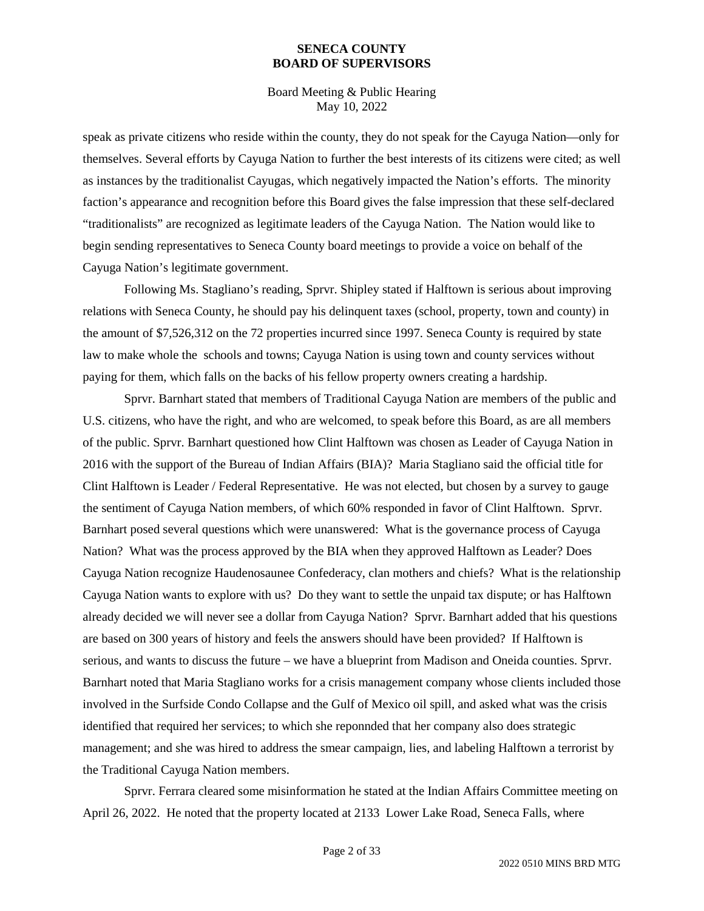Board Meeting & Public Hearing May 10, 2022

speak as private citizens who reside within the county, they do not speak for the Cayuga Nation—only for themselves. Several efforts by Cayuga Nation to further the best interests of its citizens were cited; as well as instances by the traditionalist Cayugas, which negatively impacted the Nation's efforts. The minority faction's appearance and recognition before this Board gives the false impression that these self-declared "traditionalists" are recognized as legitimate leaders of the Cayuga Nation. The Nation would like to begin sending representatives to Seneca County board meetings to provide a voice on behalf of the Cayuga Nation's legitimate government.

Following Ms. Stagliano's reading, Sprvr. Shipley stated if Halftown is serious about improving relations with Seneca County, he should pay his delinquent taxes (school, property, town and county) in the amount of \$7,526,312 on the 72 properties incurred since 1997. Seneca County is required by state law to make whole the schools and towns; Cayuga Nation is using town and county services without paying for them, which falls on the backs of his fellow property owners creating a hardship.

Sprvr. Barnhart stated that members of Traditional Cayuga Nation are members of the public and U.S. citizens, who have the right, and who are welcomed, to speak before this Board, as are all members of the public. Sprvr. Barnhart questioned how Clint Halftown was chosen as Leader of Cayuga Nation in 2016 with the support of the Bureau of Indian Affairs (BIA)? Maria Stagliano said the official title for Clint Halftown is Leader / Federal Representative. He was not elected, but chosen by a survey to gauge the sentiment of Cayuga Nation members, of which 60% responded in favor of Clint Halftown. Sprvr. Barnhart posed several questions which were unanswered: What is the governance process of Cayuga Nation? What was the process approved by the BIA when they approved Halftown as Leader? Does Cayuga Nation recognize Haudenosaunee Confederacy, clan mothers and chiefs? What is the relationship Cayuga Nation wants to explore with us? Do they want to settle the unpaid tax dispute; or has Halftown already decided we will never see a dollar from Cayuga Nation? Sprvr. Barnhart added that his questions are based on 300 years of history and feels the answers should have been provided? If Halftown is serious, and wants to discuss the future – we have a blueprint from Madison and Oneida counties. Sprvr. Barnhart noted that Maria Stagliano works for a crisis management company whose clients included those involved in the Surfside Condo Collapse and the Gulf of Mexico oil spill, and asked what was the crisis identified that required her services; to which she reponnded that her company also does strategic management; and she was hired to address the smear campaign, lies, and labeling Halftown a terrorist by the Traditional Cayuga Nation members.

Sprvr. Ferrara cleared some misinformation he stated at the Indian Affairs Committee meeting on April 26, 2022. He noted that the property located at 2133 Lower Lake Road, Seneca Falls, where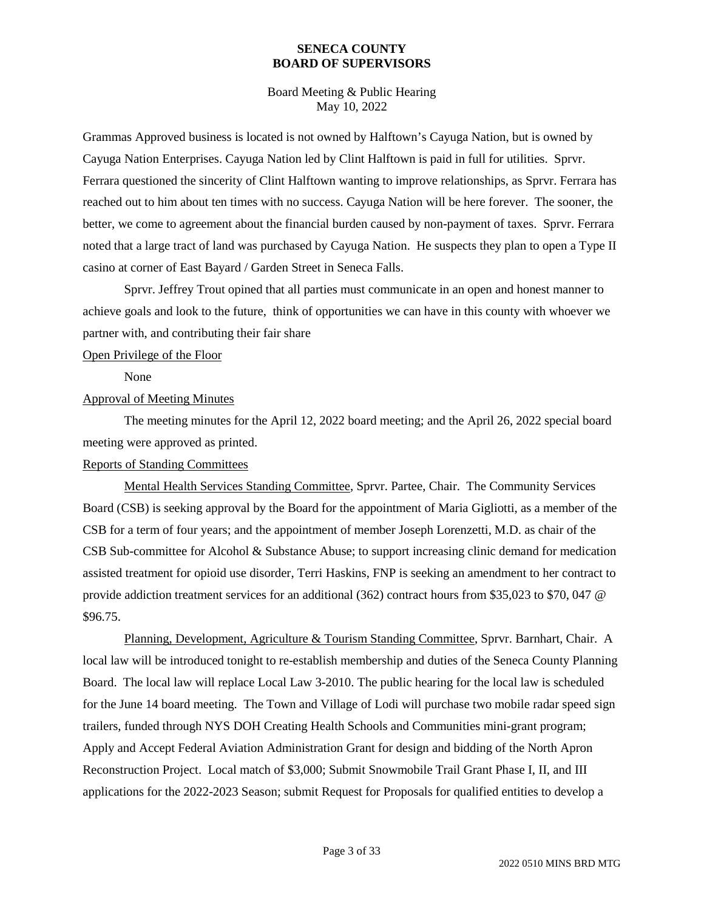Board Meeting & Public Hearing May 10, 2022

Grammas Approved business is located is not owned by Halftown's Cayuga Nation, but is owned by Cayuga Nation Enterprises. Cayuga Nation led by Clint Halftown is paid in full for utilities. Sprvr. Ferrara questioned the sincerity of Clint Halftown wanting to improve relationships, as Sprvr. Ferrara has reached out to him about ten times with no success. Cayuga Nation will be here forever. The sooner, the better, we come to agreement about the financial burden caused by non-payment of taxes. Sprvr. Ferrara noted that a large tract of land was purchased by Cayuga Nation. He suspects they plan to open a Type II casino at corner of East Bayard / Garden Street in Seneca Falls.

Sprvr. Jeffrey Trout opined that all parties must communicate in an open and honest manner to achieve goals and look to the future, think of opportunities we can have in this county with whoever we partner with, and contributing their fair share

### Open Privilege of the Floor

None

### Approval of Meeting Minutes

The meeting minutes for the April 12, 2022 board meeting; and the April 26, 2022 special board meeting were approved as printed.

### Reports of Standing Committees

Mental Health Services Standing Committee, Sprvr. Partee, Chair. The Community Services Board (CSB) is seeking approval by the Board for the appointment of Maria Gigliotti, as a member of the CSB for a term of four years; and the appointment of member Joseph Lorenzetti, M.D. as chair of the CSB Sub-committee for Alcohol & Substance Abuse; to support increasing clinic demand for medication assisted treatment for opioid use disorder, Terri Haskins, FNP is seeking an amendment to her contract to provide addiction treatment services for an additional (362) contract hours from \$35,023 to \$70, 047 @ \$96.75.

Planning, Development, Agriculture & Tourism Standing Committee, Sprvr. Barnhart, Chair. A local law will be introduced tonight to re-establish membership and duties of the Seneca County Planning Board. The local law will replace Local Law 3-2010. The public hearing for the local law is scheduled for the June 14 board meeting. The Town and Village of Lodi will purchase two mobile radar speed sign trailers, funded through NYS DOH Creating Health Schools and Communities mini-grant program; Apply and Accept Federal Aviation Administration Grant for design and bidding of the North Apron Reconstruction Project. Local match of \$3,000; Submit Snowmobile Trail Grant Phase I, II, and III applications for the 2022-2023 Season; submit Request for Proposals for qualified entities to develop a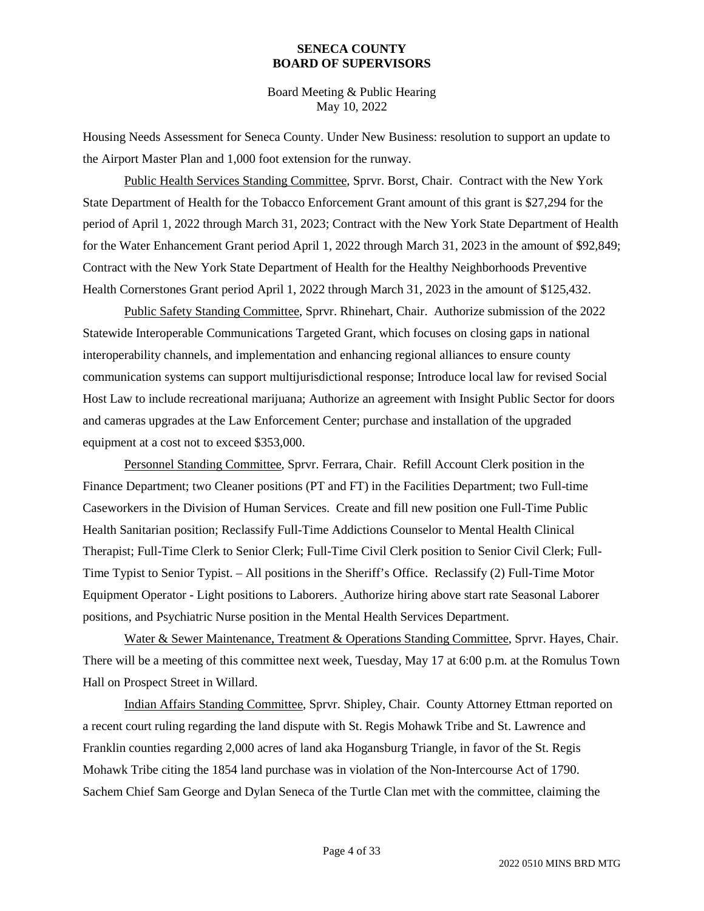Board Meeting & Public Hearing May 10, 2022

Housing Needs Assessment for Seneca County. Under New Business: resolution to support an update to the Airport Master Plan and 1,000 foot extension for the runway.

Public Health Services Standing Committee, Sprvr. Borst, Chair. Contract with the New York State Department of Health for the Tobacco Enforcement Grant amount of this grant is \$27,294 for the period of April 1, 2022 through March 31, 2023; Contract with the New York State Department of Health for the Water Enhancement Grant period April 1, 2022 through March 31, 2023 in the amount of \$92,849; Contract with the New York State Department of Health for the Healthy Neighborhoods Preventive Health Cornerstones Grant period April 1, 2022 through March 31, 2023 in the amount of \$125,432.

Public Safety Standing Committee, Sprvr. Rhinehart, Chair. Authorize submission of the 2022 Statewide Interoperable Communications Targeted Grant, which focuses on closing gaps in national interoperability channels, and implementation and enhancing regional alliances to ensure county communication systems can support multijurisdictional response; Introduce local law for revised Social Host Law to include recreational marijuana; Authorize an agreement with Insight Public Sector for doors and cameras upgrades at the Law Enforcement Center; purchase and installation of the upgraded equipment at a cost not to exceed \$353,000.

Personnel Standing Committee, Sprvr. Ferrara, Chair. Refill Account Clerk position in the Finance Department; two Cleaner positions (PT and FT) in the Facilities Department; two Full-time Caseworkers in the Division of Human Services. Create and fill new position one Full-Time Public Health Sanitarian position; Reclassify Full-Time Addictions Counselor to Mental Health Clinical Therapist; Full-Time Clerk to Senior Clerk; Full-Time Civil Clerk position to Senior Civil Clerk; Full-Time Typist to Senior Typist. – All positions in the Sheriff's Office. Reclassify (2) Full-Time Motor Equipment Operator - Light positions to Laborers. Authorize hiring above start rate Seasonal Laborer positions, and Psychiatric Nurse position in the Mental Health Services Department.

Water & Sewer Maintenance, Treatment & Operations Standing Committee, Sprvr. Hayes, Chair. There will be a meeting of this committee next week, Tuesday, May 17 at 6:00 p.m. at the Romulus Town Hall on Prospect Street in Willard.

Indian Affairs Standing Committee, Sprvr. Shipley, Chair. County Attorney Ettman reported on a recent court ruling regarding the land dispute with St. Regis Mohawk Tribe and St. Lawrence and Franklin counties regarding 2,000 acres of land aka Hogansburg Triangle, in favor of the St. Regis Mohawk Tribe citing the 1854 land purchase was in violation of the Non-Intercourse Act of 1790. Sachem Chief Sam George and Dylan Seneca of the Turtle Clan met with the committee, claiming the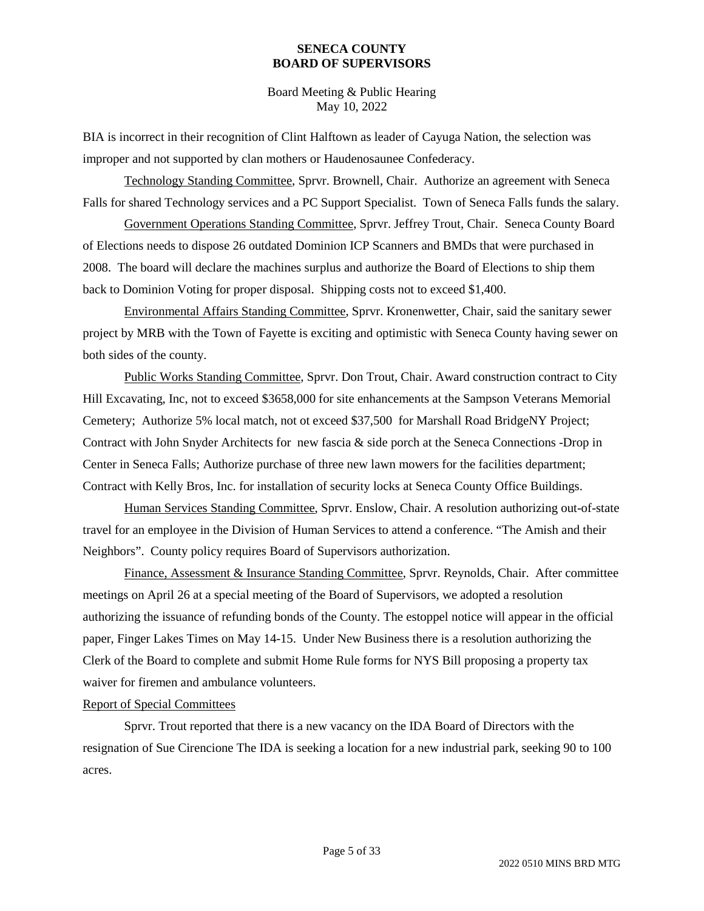Board Meeting & Public Hearing May 10, 2022

BIA is incorrect in their recognition of Clint Halftown as leader of Cayuga Nation, the selection was improper and not supported by clan mothers or Haudenosaunee Confederacy.

Technology Standing Committee, Sprvr. Brownell, Chair. Authorize an agreement with Seneca Falls for shared Technology services and a PC Support Specialist. Town of Seneca Falls funds the salary.

Government Operations Standing Committee, Sprvr. Jeffrey Trout, Chair. Seneca County Board of Elections needs to dispose 26 outdated Dominion ICP Scanners and BMDs that were purchased in 2008. The board will declare the machines surplus and authorize the Board of Elections to ship them back to Dominion Voting for proper disposal. Shipping costs not to exceed \$1,400.

Environmental Affairs Standing Committee, Sprvr. Kronenwetter, Chair, said the sanitary sewer project by MRB with the Town of Fayette is exciting and optimistic with Seneca County having sewer on both sides of the county.

Public Works Standing Committee, Sprvr. Don Trout, Chair. Award construction contract to City Hill Excavating, Inc, not to exceed \$3658,000 for site enhancements at the Sampson Veterans Memorial Cemetery; Authorize 5% local match, not ot exceed \$37,500 for Marshall Road BridgeNY Project; Contract with John Snyder Architects for new fascia & side porch at the Seneca Connections -Drop in Center in Seneca Falls; Authorize purchase of three new lawn mowers for the facilities department; Contract with Kelly Bros, Inc. for installation of security locks at Seneca County Office Buildings.

Human Services Standing Committee, Sprvr. Enslow, Chair. A resolution authorizing out-of-state travel for an employee in the Division of Human Services to attend a conference. "The Amish and their Neighbors". County policy requires Board of Supervisors authorization.

Finance, Assessment & Insurance Standing Committee, Sprvr. Reynolds, Chair. After committee meetings on April 26 at a special meeting of the Board of Supervisors, we adopted a resolution authorizing the issuance of refunding bonds of the County. The estoppel notice will appear in the official paper, Finger Lakes Times on May 14-15. Under New Business there is a resolution authorizing the Clerk of the Board to complete and submit Home Rule forms for NYS Bill proposing a property tax waiver for firemen and ambulance volunteers.

### Report of Special Committees

Sprvr. Trout reported that there is a new vacancy on the IDA Board of Directors with the resignation of Sue Cirencione The IDA is seeking a location for a new industrial park, seeking 90 to 100 acres.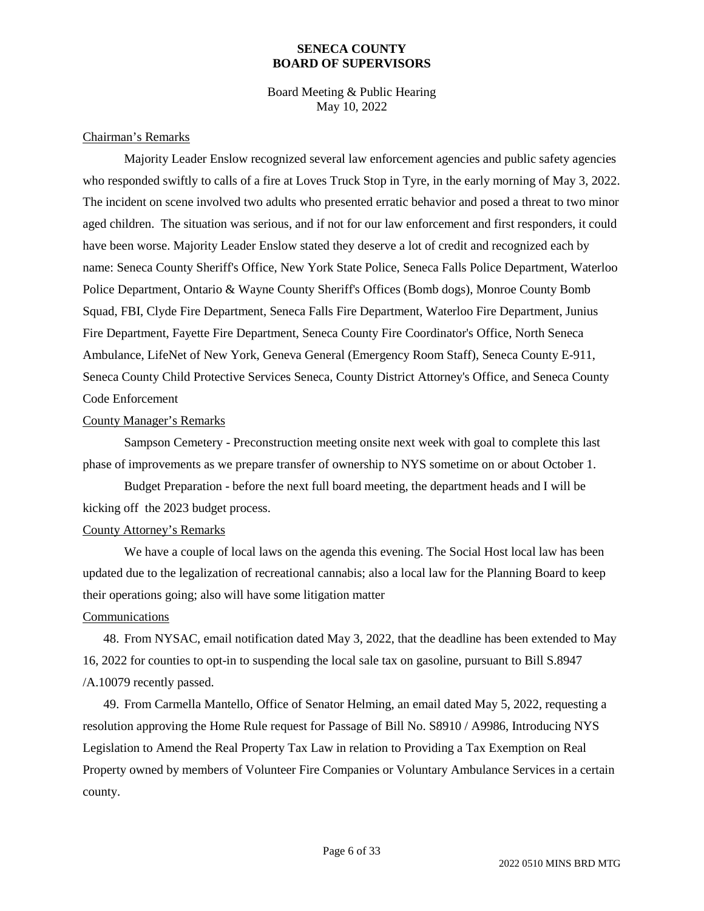Board Meeting & Public Hearing May 10, 2022

#### Chairman's Remarks

Majority Leader Enslow recognized several law enforcement agencies and public safety agencies who responded swiftly to calls of a fire at Loves Truck Stop in Tyre, in the early morning of May 3, 2022. The incident on scene involved two adults who presented erratic behavior and posed a threat to two minor aged children. The situation was serious, and if not for our law enforcement and first responders, it could have been worse. Majority Leader Enslow stated they deserve a lot of credit and recognized each by name: Seneca County Sheriff's Office, New York State Police, Seneca Falls Police Department, Waterloo Police Department, Ontario & Wayne County Sheriff's Offices (Bomb dogs), Monroe County Bomb Squad, FBI, Clyde Fire Department, Seneca Falls Fire Department, Waterloo Fire Department, Junius Fire Department, Fayette Fire Department, Seneca County Fire Coordinator's Office, North Seneca Ambulance, LifeNet of New York, Geneva General (Emergency Room Staff), Seneca County E-911, Seneca County Child Protective Services Seneca, County District Attorney's Office, and Seneca County Code Enforcement

### County Manager's Remarks

Sampson Cemetery - Preconstruction meeting onsite next week with goal to complete this last phase of improvements as we prepare transfer of ownership to NYS sometime on or about October 1.

Budget Preparation - before the next full board meeting, the department heads and I will be kicking off the 2023 budget process.

### County Attorney's Remarks

We have a couple of local laws on the agenda this evening. The Social Host local law has been updated due to the legalization of recreational cannabis; also a local law for the Planning Board to keep their operations going; also will have some litigation matter

### Communications

48. From NYSAC, email notification dated May 3, 2022, that the deadline has been extended to May 16, 2022 for counties to opt-in to suspending the local sale tax on gasoline, pursuant to Bill S.8947 /A.10079 recently passed.

49. From Carmella Mantello, Office of Senator Helming, an email dated May 5, 2022, requesting a resolution approving the Home Rule request for Passage of Bill No. S8910 / A9986, Introducing NYS Legislation to Amend the Real Property Tax Law in relation to Providing a Tax Exemption on Real Property owned by members of Volunteer Fire Companies or Voluntary Ambulance Services in a certain county.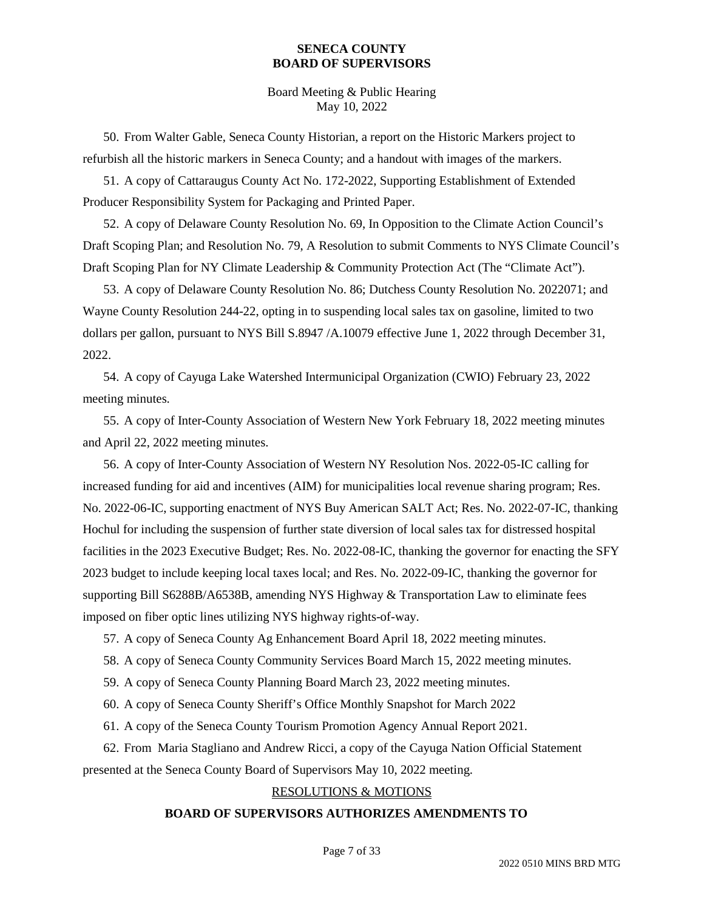Board Meeting & Public Hearing May 10, 2022

50. From Walter Gable, Seneca County Historian, a report on the Historic Markers project to refurbish all the historic markers in Seneca County; and a handout with images of the markers.

51. A copy of Cattaraugus County Act No. 172-2022, Supporting Establishment of Extended Producer Responsibility System for Packaging and Printed Paper.

52. A copy of Delaware County Resolution No. 69, In Opposition to the Climate Action Council's Draft Scoping Plan; and Resolution No. 79, A Resolution to submit Comments to NYS Climate Council's Draft Scoping Plan for NY Climate Leadership & Community Protection Act (The "Climate Act").

53. A copy of Delaware County Resolution No. 86; Dutchess County Resolution No. 2022071; and Wayne County Resolution 244-22, opting in to suspending local sales tax on gasoline, limited to two dollars per gallon, pursuant to NYS Bill S.8947 /A.10079 effective June 1, 2022 through December 31, 2022.

54. A copy of Cayuga Lake Watershed Intermunicipal Organization (CWIO) February 23, 2022 meeting minutes.

55. A copy of Inter-County Association of Western New York February 18, 2022 meeting minutes and April 22, 2022 meeting minutes.

56. A copy of Inter-County Association of Western NY Resolution Nos. 2022-05-IC calling for increased funding for aid and incentives (AIM) for municipalities local revenue sharing program; Res. No. 2022-06-IC, supporting enactment of NYS Buy American SALT Act; Res. No. 2022-07-IC, thanking Hochul for including the suspension of further state diversion of local sales tax for distressed hospital facilities in the 2023 Executive Budget; Res. No. 2022-08-IC, thanking the governor for enacting the SFY 2023 budget to include keeping local taxes local; and Res. No. 2022-09-IC, thanking the governor for supporting Bill S6288B/A6538B, amending NYS Highway & Transportation Law to eliminate fees imposed on fiber optic lines utilizing NYS highway rights-of-way.

57. A copy of Seneca County Ag Enhancement Board April 18, 2022 meeting minutes.

58. A copy of Seneca County Community Services Board March 15, 2022 meeting minutes.

59. A copy of Seneca County Planning Board March 23, 2022 meeting minutes.

60. A copy of Seneca County Sheriff's Office Monthly Snapshot for March 2022

61. A copy of the Seneca County Tourism Promotion Agency Annual Report 2021.

62. From Maria Stagliano and Andrew Ricci, a copy of the Cayuga Nation Official Statement presented at the Seneca County Board of Supervisors May 10, 2022 meeting.

### RESOLUTIONS & MOTIONS

### **BOARD OF SUPERVISORS AUTHORIZES AMENDMENTS TO**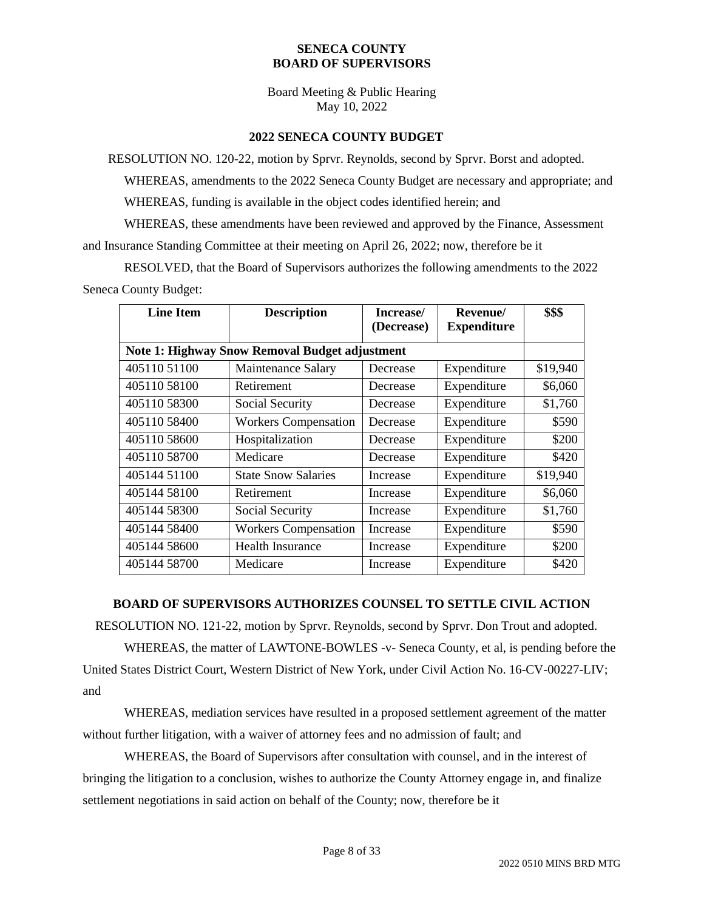Board Meeting & Public Hearing May 10, 2022

### **2022 SENECA COUNTY BUDGET**

RESOLUTION NO. 120-22, motion by Sprvr. Reynolds, second by Sprvr. Borst and adopted.

WHEREAS, amendments to the 2022 Seneca County Budget are necessary and appropriate; and

WHEREAS, funding is available in the object codes identified herein; and

WHEREAS, these amendments have been reviewed and approved by the Finance, Assessment and Insurance Standing Committee at their meeting on April 26, 2022; now, therefore be it

RESOLVED, that the Board of Supervisors authorizes the following amendments to the 2022 Seneca County Budget:

| <b>Line Item</b>                                      | <b>Description</b>          | Increase/<br>(Decrease) | Revenue/<br><b>Expenditure</b> | \$\$\$   |
|-------------------------------------------------------|-----------------------------|-------------------------|--------------------------------|----------|
| <b>Note 1: Highway Snow Removal Budget adjustment</b> |                             |                         |                                |          |
| 40511051100                                           | <b>Maintenance Salary</b>   | Decrease                | Expenditure                    | \$19,940 |
| 405110 58100                                          | Retirement                  | Decrease                | Expenditure                    | \$6,060  |
| 405110 58300                                          | Social Security             | Decrease                | Expenditure                    | \$1,760  |
| 405110 58400                                          | <b>Workers Compensation</b> | Decrease                | Expenditure                    | \$590    |
| 405110 58600                                          | Hospitalization             | Decrease                | Expenditure                    | \$200    |
| 405110 58700                                          | Medicare                    | Decrease                | Expenditure                    | \$420    |
| 405144 51100                                          | <b>State Snow Salaries</b>  | Increase                | Expenditure                    | \$19,940 |
| 405144 58100                                          | Retirement                  | Increase                | Expenditure                    | \$6,060  |
| 405144 58300                                          | Social Security             | Increase                | Expenditure                    | \$1,760  |
| 405144 58400                                          | <b>Workers Compensation</b> | Increase                | Expenditure                    | \$590    |
| 405144 58600                                          | <b>Health Insurance</b>     | Increase                | Expenditure                    | \$200    |
| 405144 58700                                          | Medicare                    | Increase                | Expenditure                    | \$420    |

### **BOARD OF SUPERVISORS AUTHORIZES COUNSEL TO SETTLE CIVIL ACTION**

RESOLUTION NO. 121-22, motion by Sprvr. Reynolds, second by Sprvr. Don Trout and adopted.

WHEREAS, the matter of LAWTONE-BOWLES -v- Seneca County, et al, is pending before the United States District Court, Western District of New York, under Civil Action No. 16-CV-00227-LIV; and

WHEREAS, mediation services have resulted in a proposed settlement agreement of the matter without further litigation, with a waiver of attorney fees and no admission of fault; and

WHEREAS, the Board of Supervisors after consultation with counsel, and in the interest of bringing the litigation to a conclusion, wishes to authorize the County Attorney engage in, and finalize settlement negotiations in said action on behalf of the County; now, therefore be it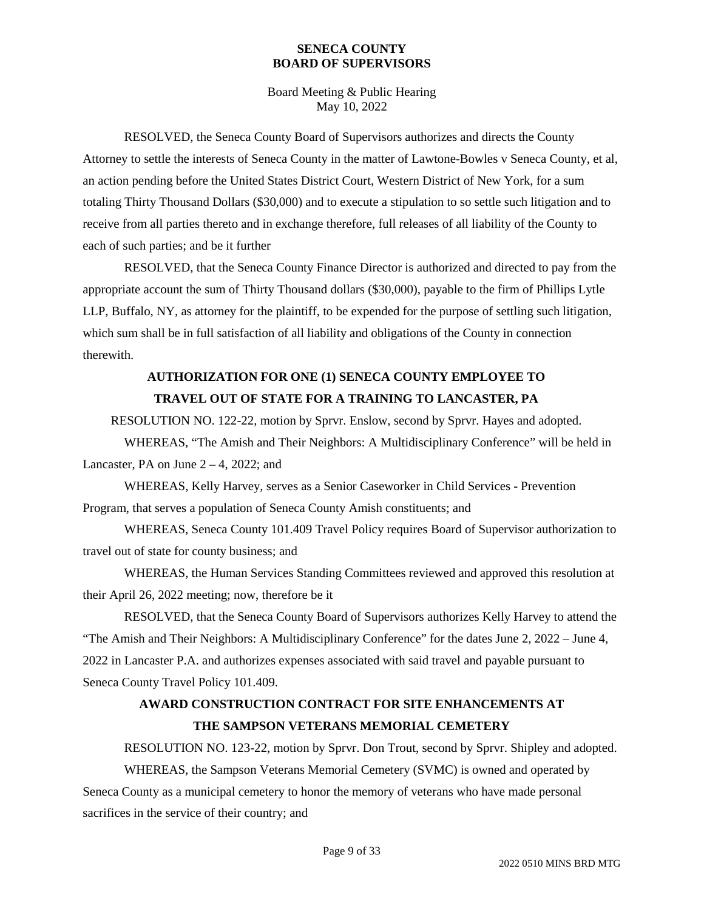Board Meeting & Public Hearing May 10, 2022

RESOLVED, the Seneca County Board of Supervisors authorizes and directs the County Attorney to settle the interests of Seneca County in the matter of Lawtone-Bowles v Seneca County, et al, an action pending before the United States District Court, Western District of New York, for a sum totaling Thirty Thousand Dollars (\$30,000) and to execute a stipulation to so settle such litigation and to receive from all parties thereto and in exchange therefore, full releases of all liability of the County to each of such parties; and be it further

RESOLVED, that the Seneca County Finance Director is authorized and directed to pay from the appropriate account the sum of Thirty Thousand dollars (\$30,000), payable to the firm of Phillips Lytle LLP, Buffalo, NY, as attorney for the plaintiff, to be expended for the purpose of settling such litigation, which sum shall be in full satisfaction of all liability and obligations of the County in connection therewith.

## **AUTHORIZATION FOR ONE (1) SENECA COUNTY EMPLOYEE TO TRAVEL OUT OF STATE FOR A TRAINING TO LANCASTER, PA**

RESOLUTION NO. 122-22, motion by Sprvr. Enslow, second by Sprvr. Hayes and adopted.

WHEREAS, "The Amish and Their Neighbors: A Multidisciplinary Conference" will be held in Lancaster, PA on June  $2 - 4$ , 2022; and

WHEREAS, Kelly Harvey, serves as a Senior Caseworker in Child Services - Prevention Program, that serves a population of Seneca County Amish constituents; and

WHEREAS, Seneca County 101.409 Travel Policy requires Board of Supervisor authorization to travel out of state for county business; and

WHEREAS, the Human Services Standing Committees reviewed and approved this resolution at their April 26, 2022 meeting; now, therefore be it

RESOLVED, that the Seneca County Board of Supervisors authorizes Kelly Harvey to attend the "The Amish and Their Neighbors: A Multidisciplinary Conference" for the dates June 2, 2022 – June 4, 2022 in Lancaster P.A. and authorizes expenses associated with said travel and payable pursuant to Seneca County Travel Policy 101.409.

## **AWARD CONSTRUCTION CONTRACT FOR SITE ENHANCEMENTS AT THE SAMPSON VETERANS MEMORIAL CEMETERY**

RESOLUTION NO. 123-22, motion by Sprvr. Don Trout, second by Sprvr. Shipley and adopted. WHEREAS, the Sampson Veterans Memorial Cemetery (SVMC) is owned and operated by Seneca County as a municipal cemetery to honor the memory of veterans who have made personal sacrifices in the service of their country; and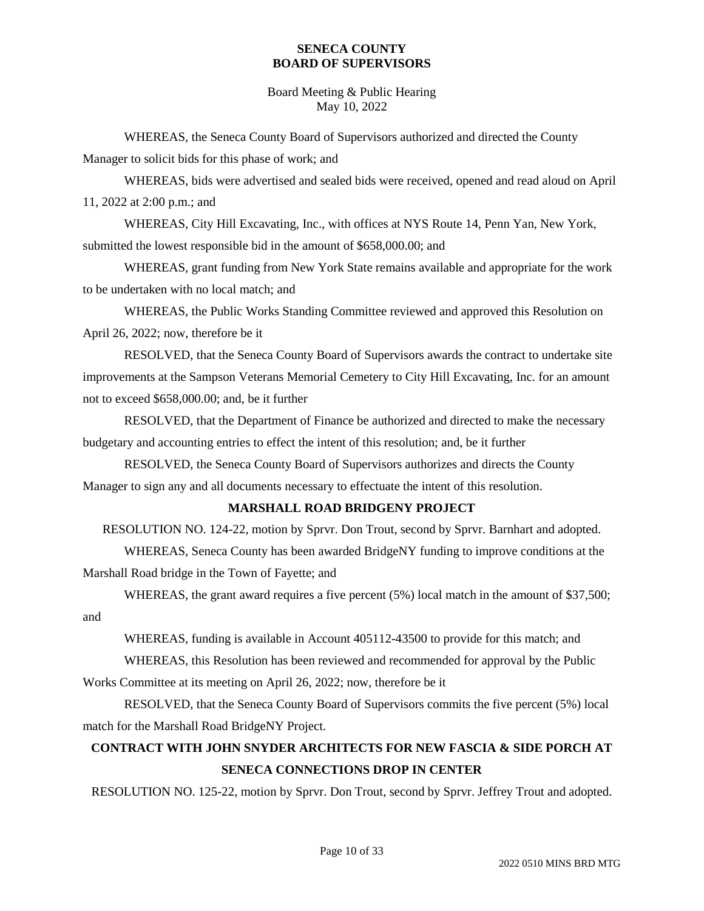Board Meeting & Public Hearing May 10, 2022

WHEREAS, the Seneca County Board of Supervisors authorized and directed the County Manager to solicit bids for this phase of work; and

WHEREAS, bids were advertised and sealed bids were received, opened and read aloud on April 11, 2022 at 2:00 p.m.; and

WHEREAS, City Hill Excavating, Inc., with offices at NYS Route 14, Penn Yan, New York, submitted the lowest responsible bid in the amount of \$658,000.00; and

WHEREAS, grant funding from New York State remains available and appropriate for the work to be undertaken with no local match; and

WHEREAS, the Public Works Standing Committee reviewed and approved this Resolution on April 26, 2022; now, therefore be it

RESOLVED, that the Seneca County Board of Supervisors awards the contract to undertake site improvements at the Sampson Veterans Memorial Cemetery to City Hill Excavating, Inc. for an amount not to exceed \$658,000.00; and, be it further

RESOLVED, that the Department of Finance be authorized and directed to make the necessary budgetary and accounting entries to effect the intent of this resolution; and, be it further

RESOLVED, the Seneca County Board of Supervisors authorizes and directs the County Manager to sign any and all documents necessary to effectuate the intent of this resolution.

### **MARSHALL ROAD BRIDGENY PROJECT**

RESOLUTION NO. 124-22, motion by Sprvr. Don Trout, second by Sprvr. Barnhart and adopted.

WHEREAS, Seneca County has been awarded BridgeNY funding to improve conditions at the Marshall Road bridge in the Town of Fayette; and

WHEREAS, the grant award requires a five percent (5%) local match in the amount of \$37,500; and

WHEREAS, funding is available in Account 405112-43500 to provide for this match; and

WHEREAS, this Resolution has been reviewed and recommended for approval by the Public Works Committee at its meeting on April 26, 2022; now, therefore be it

RESOLVED, that the Seneca County Board of Supervisors commits the five percent (5%) local match for the Marshall Road BridgeNY Project.

## **CONTRACT WITH JOHN SNYDER ARCHITECTS FOR NEW FASCIA & SIDE PORCH AT SENECA CONNECTIONS DROP IN CENTER**

RESOLUTION NO. 125-22, motion by Sprvr. Don Trout, second by Sprvr. Jeffrey Trout and adopted.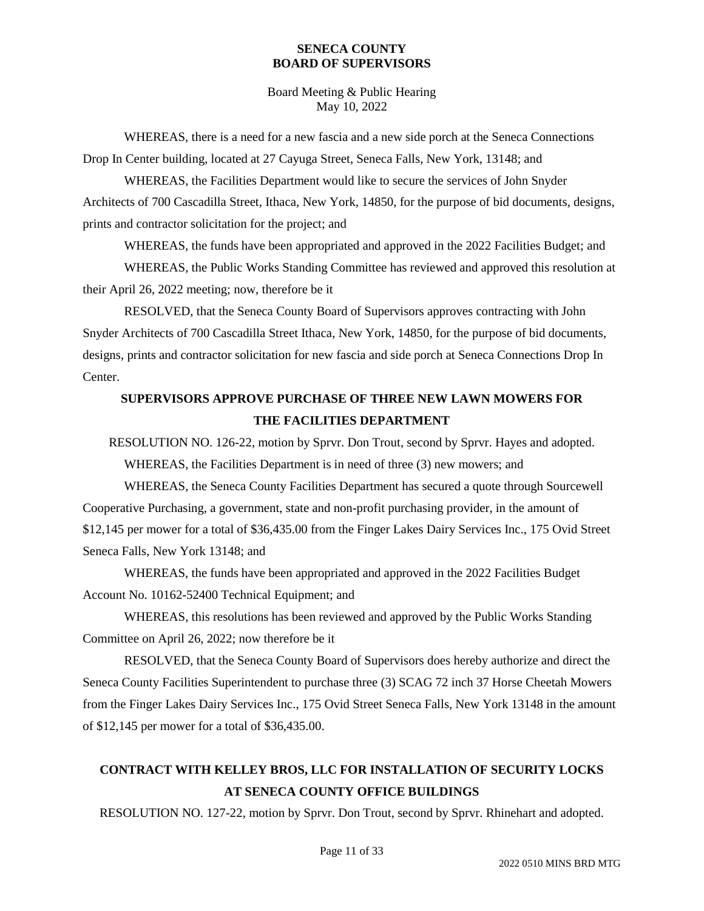Board Meeting & Public Hearing May 10, 2022

WHEREAS, there is a need for a new fascia and a new side porch at the Seneca Connections Drop In Center building, located at 27 Cayuga Street, Seneca Falls, New York, 13148; and

WHEREAS, the Facilities Department would like to secure the services of John Snyder Architects of 700 Cascadilla Street, Ithaca, New York, 14850, for the purpose of bid documents, designs, prints and contractor solicitation for the project; and

WHEREAS, the funds have been appropriated and approved in the 2022 Facilities Budget; and

WHEREAS, the Public Works Standing Committee has reviewed and approved this resolution at their April 26, 2022 meeting; now, therefore be it

RESOLVED, that the Seneca County Board of Supervisors approves contracting with John Snyder Architects of 700 Cascadilla Street Ithaca, New York, 14850, for the purpose of bid documents, designs, prints and contractor solicitation for new fascia and side porch at Seneca Connections Drop In Center.

## **SUPERVISORS APPROVE PURCHASE OF THREE NEW LAWN MOWERS FOR THE FACILITIES DEPARTMENT**

RESOLUTION NO. 126-22, motion by Sprvr. Don Trout, second by Sprvr. Hayes and adopted. WHEREAS, the Facilities Department is in need of three (3) new mowers; and

WHEREAS, the Seneca County Facilities Department has secured a quote through Sourcewell Cooperative Purchasing, a government, state and non-profit purchasing provider, in the amount of \$12,145 per mower for a total of \$36,435.00 from the Finger Lakes Dairy Services Inc., 175 Ovid Street Seneca Falls, New York 13148; and

WHEREAS, the funds have been appropriated and approved in the 2022 Facilities Budget Account No. 10162-52400 Technical Equipment; and

WHEREAS, this resolutions has been reviewed and approved by the Public Works Standing Committee on April 26, 2022; now therefore be it

RESOLVED, that the Seneca County Board of Supervisors does hereby authorize and direct the Seneca County Facilities Superintendent to purchase three (3) SCAG 72 inch 37 Horse Cheetah Mowers from the Finger Lakes Dairy Services Inc., 175 Ovid Street Seneca Falls, New York 13148 in the amount of \$12,145 per mower for a total of \$36,435.00.

# **CONTRACT WITH KELLEY BROS, LLC FOR INSTALLATION OF SECURITY LOCKS AT SENECA COUNTY OFFICE BUILDINGS**

RESOLUTION NO. 127-22, motion by Sprvr. Don Trout, second by Sprvr. Rhinehart and adopted.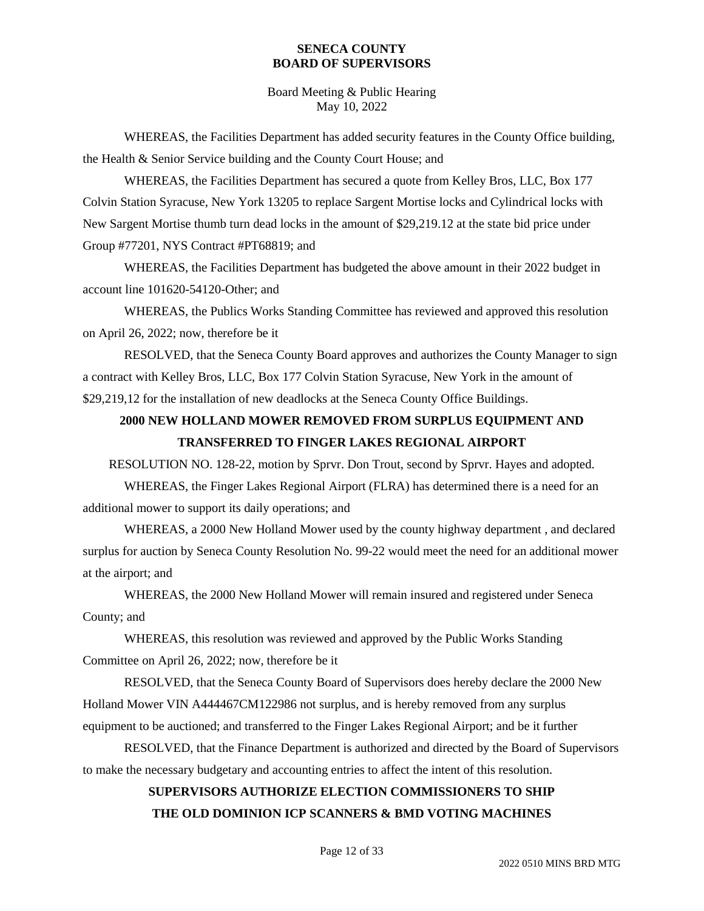Board Meeting & Public Hearing May 10, 2022

WHEREAS, the Facilities Department has added security features in the County Office building, the Health & Senior Service building and the County Court House; and

WHEREAS, the Facilities Department has secured a quote from Kelley Bros, LLC, Box 177 Colvin Station Syracuse, New York 13205 to replace Sargent Mortise locks and Cylindrical locks with New Sargent Mortise thumb turn dead locks in the amount of \$29,219.12 at the state bid price under Group #77201, NYS Contract #PT68819; and

WHEREAS, the Facilities Department has budgeted the above amount in their 2022 budget in account line 101620-54120-Other; and

WHEREAS, the Publics Works Standing Committee has reviewed and approved this resolution on April 26, 2022; now, therefore be it

RESOLVED, that the Seneca County Board approves and authorizes the County Manager to sign a contract with Kelley Bros, LLC, Box 177 Colvin Station Syracuse, New York in the amount of \$29,219,12 for the installation of new deadlocks at the Seneca County Office Buildings.

## **2000 NEW HOLLAND MOWER REMOVED FROM SURPLUS EQUIPMENT AND TRANSFERRED TO FINGER LAKES REGIONAL AIRPORT**

RESOLUTION NO. 128-22, motion by Sprvr. Don Trout, second by Sprvr. Hayes and adopted.

WHEREAS, the Finger Lakes Regional Airport (FLRA) has determined there is a need for an additional mower to support its daily operations; and

WHEREAS, a 2000 New Holland Mower used by the county highway department , and declared surplus for auction by Seneca County Resolution No. 99-22 would meet the need for an additional mower at the airport; and

WHEREAS, the 2000 New Holland Mower will remain insured and registered under Seneca County; and

WHEREAS, this resolution was reviewed and approved by the Public Works Standing Committee on April 26, 2022; now, therefore be it

RESOLVED, that the Seneca County Board of Supervisors does hereby declare the 2000 New Holland Mower VIN A444467CM122986 not surplus, and is hereby removed from any surplus equipment to be auctioned; and transferred to the Finger Lakes Regional Airport; and be it further

RESOLVED, that the Finance Department is authorized and directed by the Board of Supervisors to make the necessary budgetary and accounting entries to affect the intent of this resolution.

# **SUPERVISORS AUTHORIZE ELECTION COMMISSIONERS TO SHIP THE OLD DOMINION ICP SCANNERS & BMD VOTING MACHINES**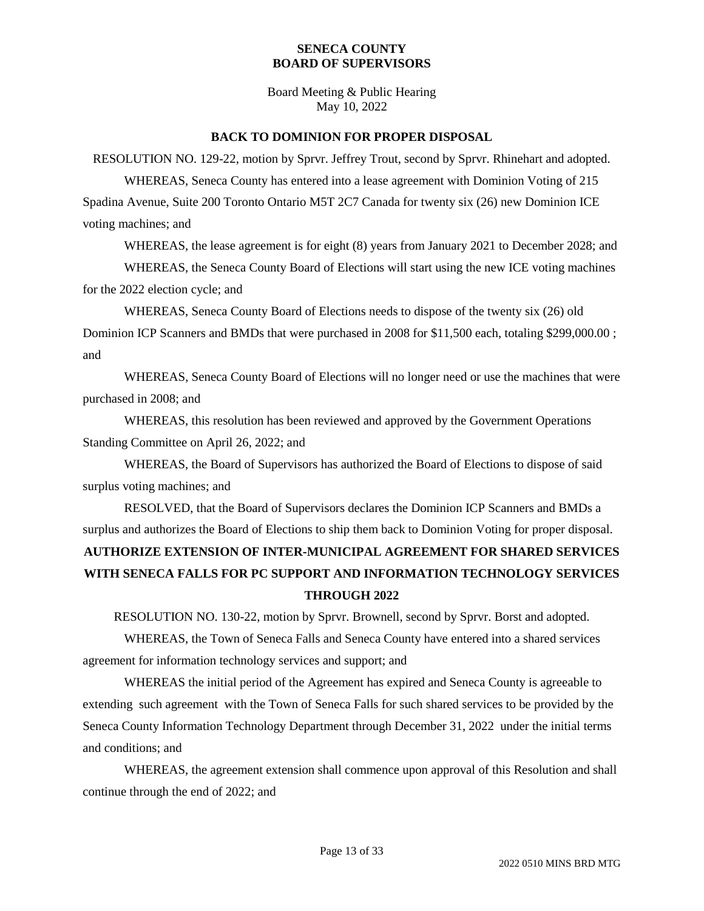Board Meeting & Public Hearing May 10, 2022

#### **BACK TO DOMINION FOR PROPER DISPOSAL**

RESOLUTION NO. 129-22, motion by Sprvr. Jeffrey Trout, second by Sprvr. Rhinehart and adopted. WHEREAS, Seneca County has entered into a lease agreement with Dominion Voting of 215 Spadina Avenue, Suite 200 Toronto Ontario M5T 2C7 Canada for twenty six (26) new Dominion ICE voting machines; and

WHEREAS, the lease agreement is for eight (8) years from January 2021 to December 2028; and

WHEREAS, the Seneca County Board of Elections will start using the new ICE voting machines for the 2022 election cycle; and

WHEREAS, Seneca County Board of Elections needs to dispose of the twenty six (26) old Dominion ICP Scanners and BMDs that were purchased in 2008 for \$11,500 each, totaling \$299,000.00 ; and

WHEREAS, Seneca County Board of Elections will no longer need or use the machines that were purchased in 2008; and

WHEREAS, this resolution has been reviewed and approved by the Government Operations Standing Committee on April 26, 2022; and

WHEREAS, the Board of Supervisors has authorized the Board of Elections to dispose of said surplus voting machines; and

RESOLVED, that the Board of Supervisors declares the Dominion ICP Scanners and BMDs a surplus and authorizes the Board of Elections to ship them back to Dominion Voting for proper disposal. **AUTHORIZE EXTENSION OF INTER-MUNICIPAL AGREEMENT FOR SHARED SERVICES WITH SENECA FALLS FOR PC SUPPORT AND INFORMATION TECHNOLOGY SERVICES THROUGH 2022**

RESOLUTION NO. 130-22, motion by Sprvr. Brownell, second by Sprvr. Borst and adopted.

WHEREAS, the Town of Seneca Falls and Seneca County have entered into a shared services agreement for information technology services and support; and

WHEREAS the initial period of the Agreement has expired and Seneca County is agreeable to extending such agreement with the Town of Seneca Falls for such shared services to be provided by the Seneca County Information Technology Department through December 31, 2022 under the initial terms and conditions; and

WHEREAS, the agreement extension shall commence upon approval of this Resolution and shall continue through the end of 2022; and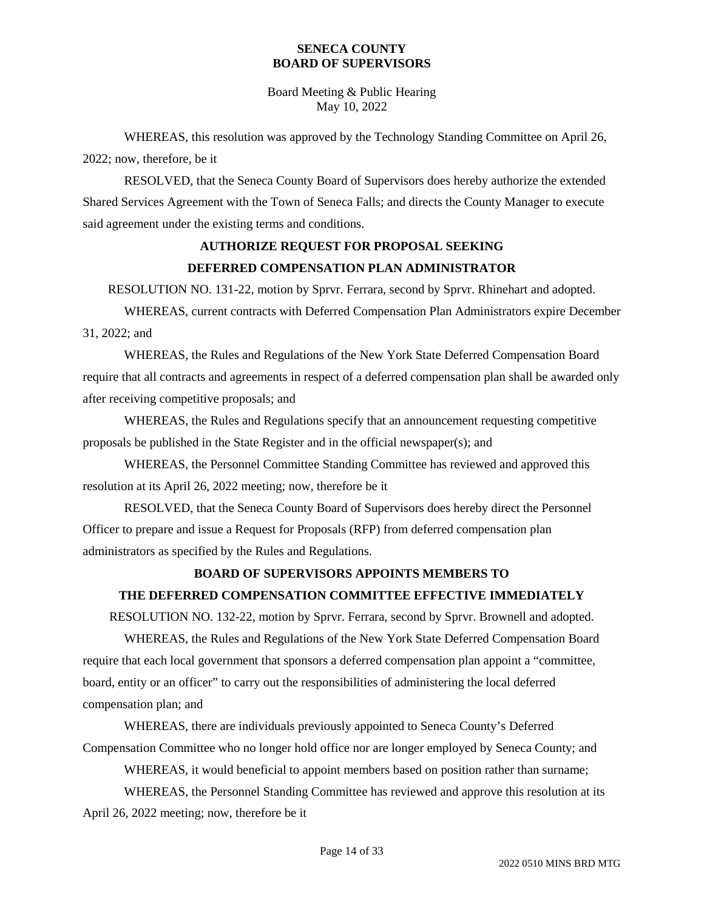Board Meeting & Public Hearing May 10, 2022

WHEREAS, this resolution was approved by the Technology Standing Committee on April 26, 2022; now, therefore, be it

RESOLVED, that the Seneca County Board of Supervisors does hereby authorize the extended Shared Services Agreement with the Town of Seneca Falls; and directs the County Manager to execute said agreement under the existing terms and conditions.

## **AUTHORIZE REQUEST FOR PROPOSAL SEEKING DEFERRED COMPENSATION PLAN ADMINISTRATOR**

RESOLUTION NO. 131-22, motion by Sprvr. Ferrara, second by Sprvr. Rhinehart and adopted.

WHEREAS, current contracts with Deferred Compensation Plan Administrators expire December 31, 2022; and

WHEREAS, the Rules and Regulations of the New York State Deferred Compensation Board require that all contracts and agreements in respect of a deferred compensation plan shall be awarded only after receiving competitive proposals; and

WHEREAS, the Rules and Regulations specify that an announcement requesting competitive proposals be published in the State Register and in the official newspaper(s); and

WHEREAS, the Personnel Committee Standing Committee has reviewed and approved this resolution at its April 26, 2022 meeting; now, therefore be it

RESOLVED, that the Seneca County Board of Supervisors does hereby direct the Personnel Officer to prepare and issue a Request for Proposals (RFP) from deferred compensation plan administrators as specified by the Rules and Regulations.

### **BOARD OF SUPERVISORS APPOINTS MEMBERS TO**

### **THE DEFERRED COMPENSATION COMMITTEE EFFECTIVE IMMEDIATELY**

RESOLUTION NO. 132-22, motion by Sprvr. Ferrara, second by Sprvr. Brownell and adopted.

WHEREAS, the Rules and Regulations of the New York State Deferred Compensation Board require that each local government that sponsors a deferred compensation plan appoint a "committee, board, entity or an officer" to carry out the responsibilities of administering the local deferred compensation plan; and

WHEREAS, there are individuals previously appointed to Seneca County's Deferred Compensation Committee who no longer hold office nor are longer employed by Seneca County; and

WHEREAS, it would beneficial to appoint members based on position rather than surname;

WHEREAS, the Personnel Standing Committee has reviewed and approve this resolution at its April 26, 2022 meeting; now, therefore be it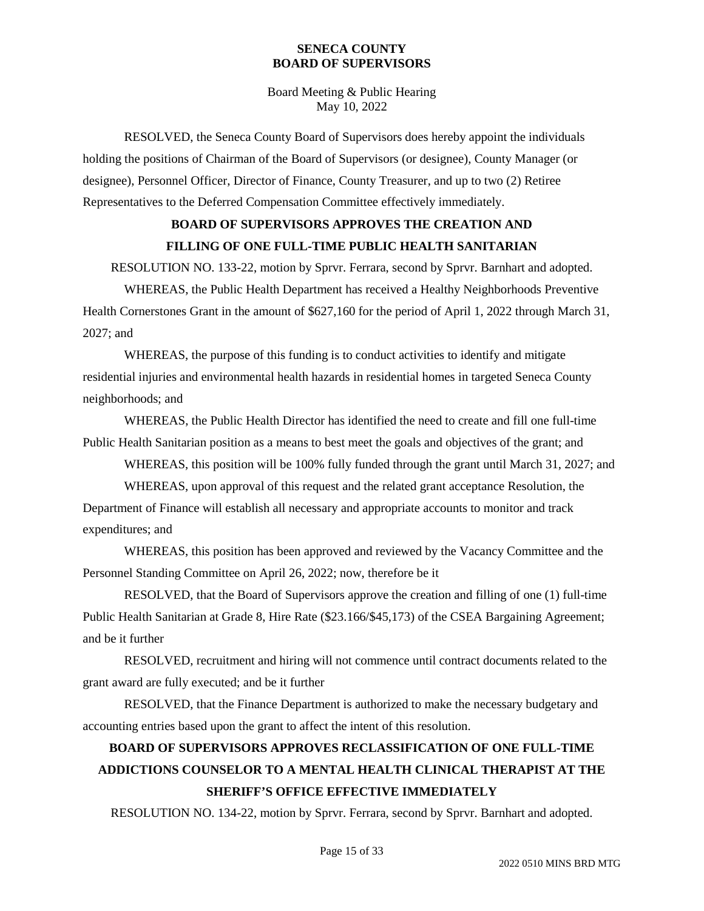Board Meeting & Public Hearing May 10, 2022

RESOLVED, the Seneca County Board of Supervisors does hereby appoint the individuals holding the positions of Chairman of the Board of Supervisors (or designee), County Manager (or designee), Personnel Officer, Director of Finance, County Treasurer, and up to two (2) Retiree Representatives to the Deferred Compensation Committee effectively immediately.

### **BOARD OF SUPERVISORS APPROVES THE CREATION AND FILLING OF ONE FULL-TIME PUBLIC HEALTH SANITARIAN**

RESOLUTION NO. 133-22, motion by Sprvr. Ferrara, second by Sprvr. Barnhart and adopted.

WHEREAS, the Public Health Department has received a Healthy Neighborhoods Preventive Health Cornerstones Grant in the amount of \$627,160 for the period of April 1, 2022 through March 31, 2027; and

WHEREAS, the purpose of this funding is to conduct activities to identify and mitigate residential injuries and environmental health hazards in residential homes in targeted Seneca County neighborhoods; and

WHEREAS, the Public Health Director has identified the need to create and fill one full-time Public Health Sanitarian position as a means to best meet the goals and objectives of the grant; and

WHEREAS, this position will be 100% fully funded through the grant until March 31, 2027; and

WHEREAS, upon approval of this request and the related grant acceptance Resolution, the Department of Finance will establish all necessary and appropriate accounts to monitor and track expenditures; and

WHEREAS, this position has been approved and reviewed by the Vacancy Committee and the Personnel Standing Committee on April 26, 2022; now, therefore be it

RESOLVED, that the Board of Supervisors approve the creation and filling of one (1) full-time Public Health Sanitarian at Grade 8, Hire Rate (\$23.166/\$45,173) of the CSEA Bargaining Agreement; and be it further

RESOLVED, recruitment and hiring will not commence until contract documents related to the grant award are fully executed; and be it further

RESOLVED, that the Finance Department is authorized to make the necessary budgetary and accounting entries based upon the grant to affect the intent of this resolution.

# **BOARD OF SUPERVISORS APPROVES RECLASSIFICATION OF ONE FULL-TIME ADDICTIONS COUNSELOR TO A MENTAL HEALTH CLINICAL THERAPIST AT THE SHERIFF'S OFFICE EFFECTIVE IMMEDIATELY**

RESOLUTION NO. 134-22, motion by Sprvr. Ferrara, second by Sprvr. Barnhart and adopted.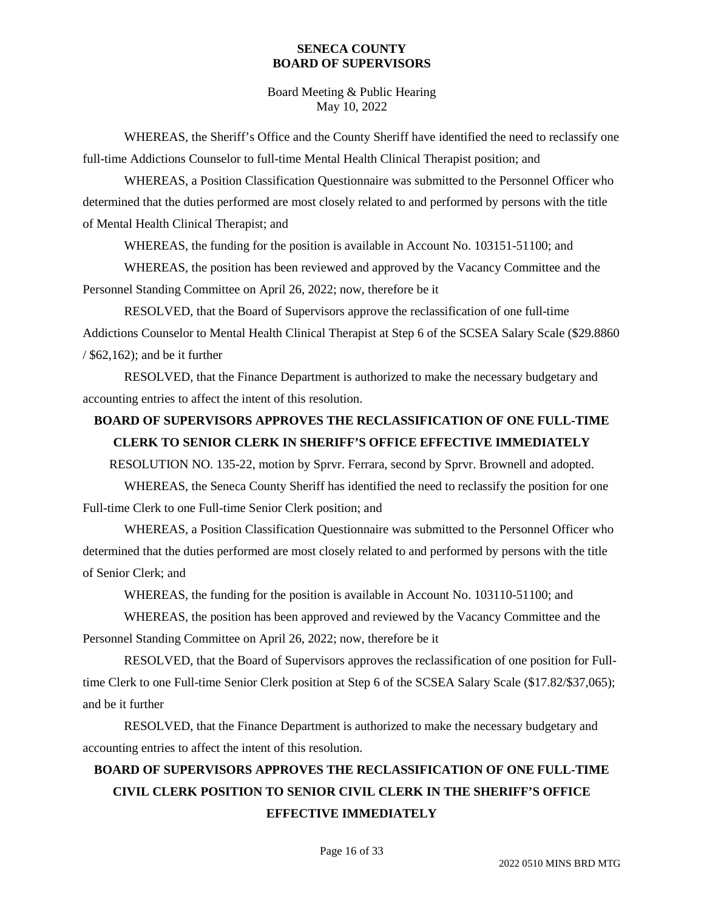Board Meeting & Public Hearing May 10, 2022

WHEREAS, the Sheriff's Office and the County Sheriff have identified the need to reclassify one full-time Addictions Counselor to full-time Mental Health Clinical Therapist position; and

WHEREAS, a Position Classification Questionnaire was submitted to the Personnel Officer who determined that the duties performed are most closely related to and performed by persons with the title of Mental Health Clinical Therapist; and

WHEREAS, the funding for the position is available in Account No. 103151-51100; and

WHEREAS, the position has been reviewed and approved by the Vacancy Committee and the Personnel Standing Committee on April 26, 2022; now, therefore be it

RESOLVED, that the Board of Supervisors approve the reclassification of one full-time Addictions Counselor to Mental Health Clinical Therapist at Step 6 of the SCSEA Salary Scale (\$29.8860 / \$62,162); and be it further

RESOLVED, that the Finance Department is authorized to make the necessary budgetary and accounting entries to affect the intent of this resolution.

### **BOARD OF SUPERVISORS APPROVES THE RECLASSIFICATION OF ONE FULL-TIME CLERK TO SENIOR CLERK IN SHERIFF'S OFFICE EFFECTIVE IMMEDIATELY**

RESOLUTION NO. 135-22, motion by Sprvr. Ferrara, second by Sprvr. Brownell and adopted.

WHEREAS, the Seneca County Sheriff has identified the need to reclassify the position for one Full-time Clerk to one Full-time Senior Clerk position; and

WHEREAS, a Position Classification Questionnaire was submitted to the Personnel Officer who determined that the duties performed are most closely related to and performed by persons with the title of Senior Clerk; and

WHEREAS, the funding for the position is available in Account No. 103110-51100; and

WHEREAS, the position has been approved and reviewed by the Vacancy Committee and the Personnel Standing Committee on April 26, 2022; now, therefore be it

RESOLVED, that the Board of Supervisors approves the reclassification of one position for Fulltime Clerk to one Full-time Senior Clerk position at Step 6 of the SCSEA Salary Scale (\$17.82/\$37,065); and be it further

RESOLVED, that the Finance Department is authorized to make the necessary budgetary and accounting entries to affect the intent of this resolution.

# **BOARD OF SUPERVISORS APPROVES THE RECLASSIFICATION OF ONE FULL-TIME CIVIL CLERK POSITION TO SENIOR CIVIL CLERK IN THE SHERIFF'S OFFICE EFFECTIVE IMMEDIATELY**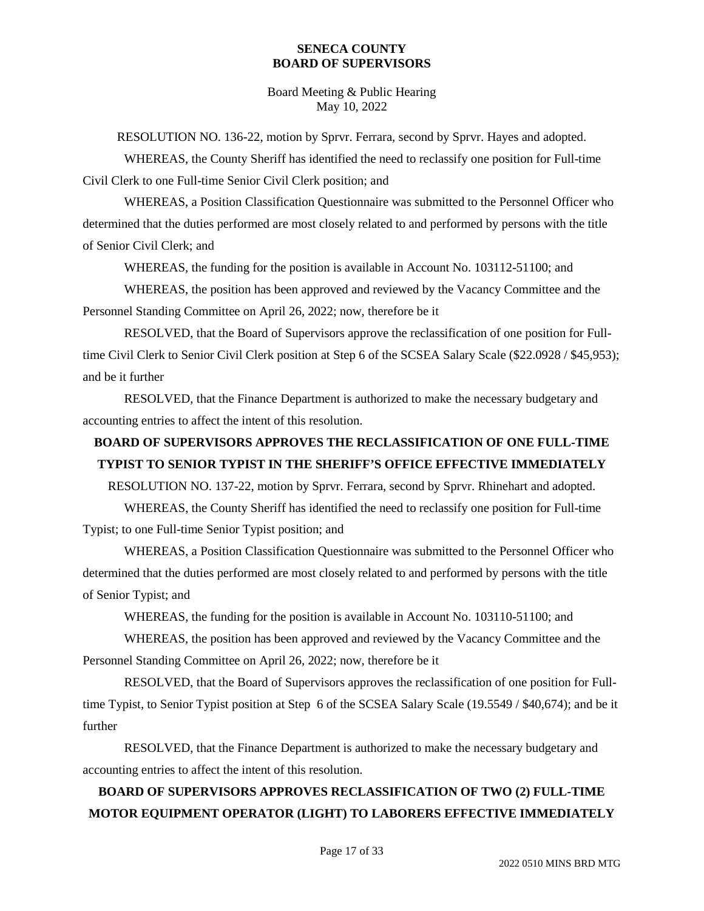Board Meeting & Public Hearing May 10, 2022

RESOLUTION NO. 136-22, motion by Sprvr. Ferrara, second by Sprvr. Hayes and adopted.

WHEREAS, the County Sheriff has identified the need to reclassify one position for Full-time Civil Clerk to one Full-time Senior Civil Clerk position; and

WHEREAS, a Position Classification Questionnaire was submitted to the Personnel Officer who determined that the duties performed are most closely related to and performed by persons with the title of Senior Civil Clerk; and

WHEREAS, the funding for the position is available in Account No. 103112-51100; and

WHEREAS, the position has been approved and reviewed by the Vacancy Committee and the Personnel Standing Committee on April 26, 2022; now, therefore be it

RESOLVED, that the Board of Supervisors approve the reclassification of one position for Fulltime Civil Clerk to Senior Civil Clerk position at Step 6 of the SCSEA Salary Scale (\$22.0928 / \$45,953); and be it further

RESOLVED, that the Finance Department is authorized to make the necessary budgetary and accounting entries to affect the intent of this resolution.

## **BOARD OF SUPERVISORS APPROVES THE RECLASSIFICATION OF ONE FULL-TIME TYPIST TO SENIOR TYPIST IN THE SHERIFF'S OFFICE EFFECTIVE IMMEDIATELY**

RESOLUTION NO. 137-22, motion by Sprvr. Ferrara, second by Sprvr. Rhinehart and adopted.

WHEREAS, the County Sheriff has identified the need to reclassify one position for Full-time Typist; to one Full-time Senior Typist position; and

WHEREAS, a Position Classification Questionnaire was submitted to the Personnel Officer who determined that the duties performed are most closely related to and performed by persons with the title of Senior Typist; and

WHEREAS, the funding for the position is available in Account No. 103110-51100; and

WHEREAS, the position has been approved and reviewed by the Vacancy Committee and the Personnel Standing Committee on April 26, 2022; now, therefore be it

RESOLVED, that the Board of Supervisors approves the reclassification of one position for Fulltime Typist, to Senior Typist position at Step 6 of the SCSEA Salary Scale (19.5549 / \$40,674); and be it further

RESOLVED, that the Finance Department is authorized to make the necessary budgetary and accounting entries to affect the intent of this resolution.

# **BOARD OF SUPERVISORS APPROVES RECLASSIFICATION OF TWO (2) FULL-TIME MOTOR EQUIPMENT OPERATOR (LIGHT) TO LABORERS EFFECTIVE IMMEDIATELY**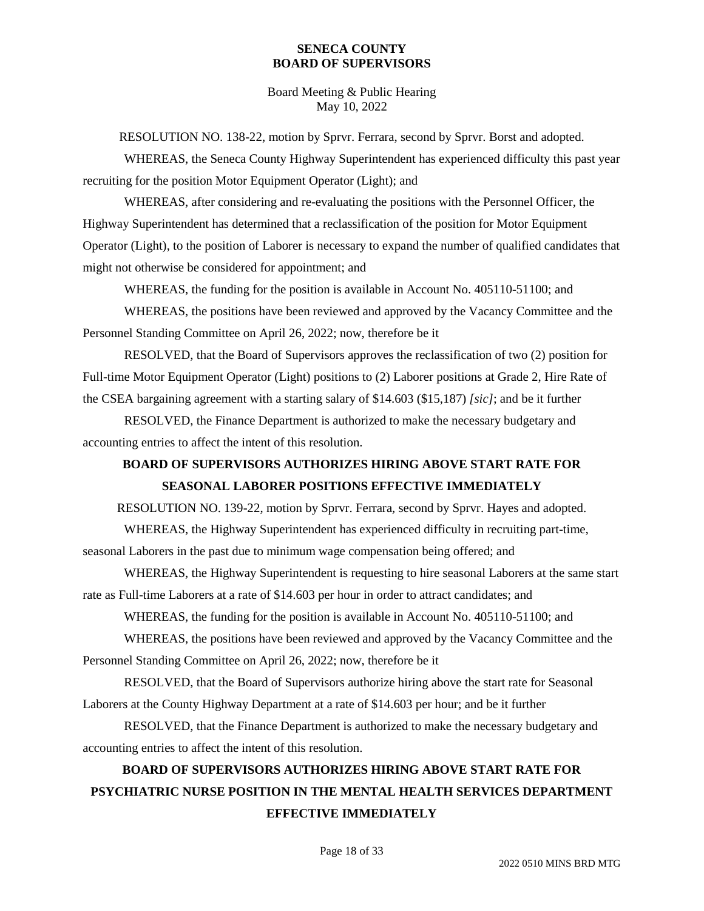Board Meeting & Public Hearing May 10, 2022

RESOLUTION NO. 138-22, motion by Sprvr. Ferrara, second by Sprvr. Borst and adopted.

WHEREAS, the Seneca County Highway Superintendent has experienced difficulty this past year recruiting for the position Motor Equipment Operator (Light); and

WHEREAS, after considering and re-evaluating the positions with the Personnel Officer, the Highway Superintendent has determined that a reclassification of the position for Motor Equipment Operator (Light), to the position of Laborer is necessary to expand the number of qualified candidates that might not otherwise be considered for appointment; and

WHEREAS, the funding for the position is available in Account No. 405110-51100; and

WHEREAS, the positions have been reviewed and approved by the Vacancy Committee and the Personnel Standing Committee on April 26, 2022; now, therefore be it

RESOLVED, that the Board of Supervisors approves the reclassification of two (2) position for Full-time Motor Equipment Operator (Light) positions to (2) Laborer positions at Grade 2, Hire Rate of the CSEA bargaining agreement with a starting salary of \$14.603 (\$15,187) *[sic]*; and be it further

RESOLVED, the Finance Department is authorized to make the necessary budgetary and accounting entries to affect the intent of this resolution.

# **BOARD OF SUPERVISORS AUTHORIZES HIRING ABOVE START RATE FOR SEASONAL LABORER POSITIONS EFFECTIVE IMMEDIATELY**

RESOLUTION NO. 139-22, motion by Sprvr. Ferrara, second by Sprvr. Hayes and adopted.

WHEREAS, the Highway Superintendent has experienced difficulty in recruiting part-time,

seasonal Laborers in the past due to minimum wage compensation being offered; and

WHEREAS, the Highway Superintendent is requesting to hire seasonal Laborers at the same start rate as Full-time Laborers at a rate of \$14.603 per hour in order to attract candidates; and

WHEREAS, the funding for the position is available in Account No. 405110-51100; and

WHEREAS, the positions have been reviewed and approved by the Vacancy Committee and the Personnel Standing Committee on April 26, 2022; now, therefore be it

RESOLVED, that the Board of Supervisors authorize hiring above the start rate for Seasonal Laborers at the County Highway Department at a rate of \$14.603 per hour; and be it further

RESOLVED, that the Finance Department is authorized to make the necessary budgetary and accounting entries to affect the intent of this resolution.

# **BOARD OF SUPERVISORS AUTHORIZES HIRING ABOVE START RATE FOR PSYCHIATRIC NURSE POSITION IN THE MENTAL HEALTH SERVICES DEPARTMENT EFFECTIVE IMMEDIATELY**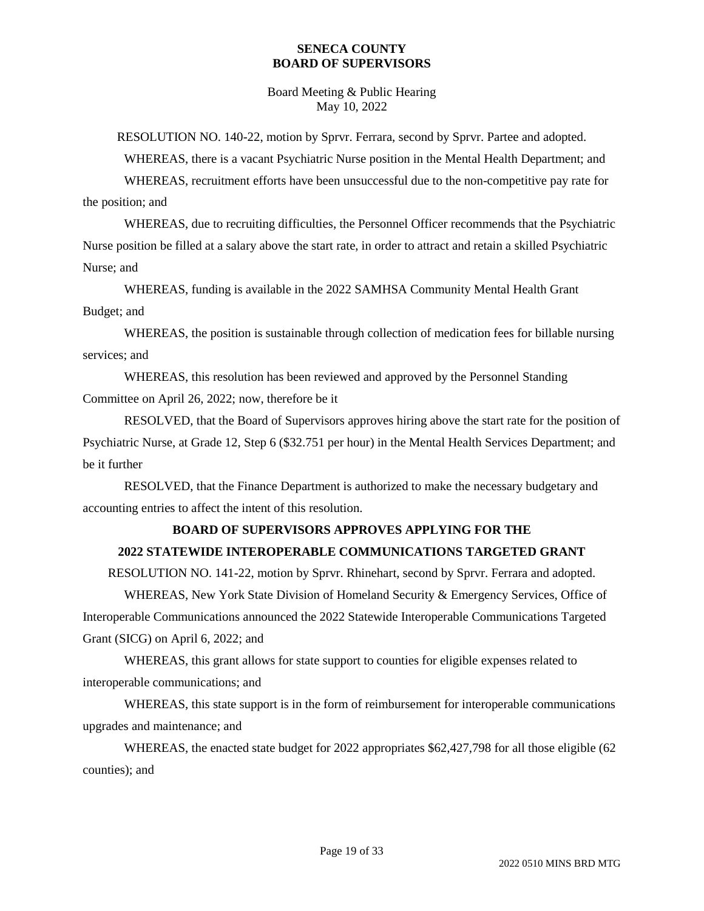Board Meeting & Public Hearing May 10, 2022

RESOLUTION NO. 140-22, motion by Sprvr. Ferrara, second by Sprvr. Partee and adopted.

WHEREAS, there is a vacant Psychiatric Nurse position in the Mental Health Department; and

WHEREAS, recruitment efforts have been unsuccessful due to the non-competitive pay rate for the position; and

WHEREAS, due to recruiting difficulties, the Personnel Officer recommends that the Psychiatric Nurse position be filled at a salary above the start rate, in order to attract and retain a skilled Psychiatric Nurse; and

WHEREAS, funding is available in the 2022 SAMHSA Community Mental Health Grant Budget; and

WHEREAS, the position is sustainable through collection of medication fees for billable nursing services; and

WHEREAS, this resolution has been reviewed and approved by the Personnel Standing Committee on April 26, 2022; now, therefore be it

RESOLVED, that the Board of Supervisors approves hiring above the start rate for the position of Psychiatric Nurse, at Grade 12, Step 6 (\$32.751 per hour) in the Mental Health Services Department; and be it further

RESOLVED, that the Finance Department is authorized to make the necessary budgetary and accounting entries to affect the intent of this resolution.

### **BOARD OF SUPERVISORS APPROVES APPLYING FOR THE**

### **2022 STATEWIDE INTEROPERABLE COMMUNICATIONS TARGETED GRANT**

RESOLUTION NO. 141-22, motion by Sprvr. Rhinehart, second by Sprvr. Ferrara and adopted.

WHEREAS, New York State Division of Homeland Security & Emergency Services, Office of Interoperable Communications announced the 2022 Statewide Interoperable Communications Targeted Grant (SICG) on April 6, 2022; and

WHEREAS, this grant allows for state support to counties for eligible expenses related to interoperable communications; and

WHEREAS, this state support is in the form of reimbursement for interoperable communications upgrades and maintenance; and

WHEREAS, the enacted state budget for 2022 appropriates \$62,427,798 for all those eligible (62 counties); and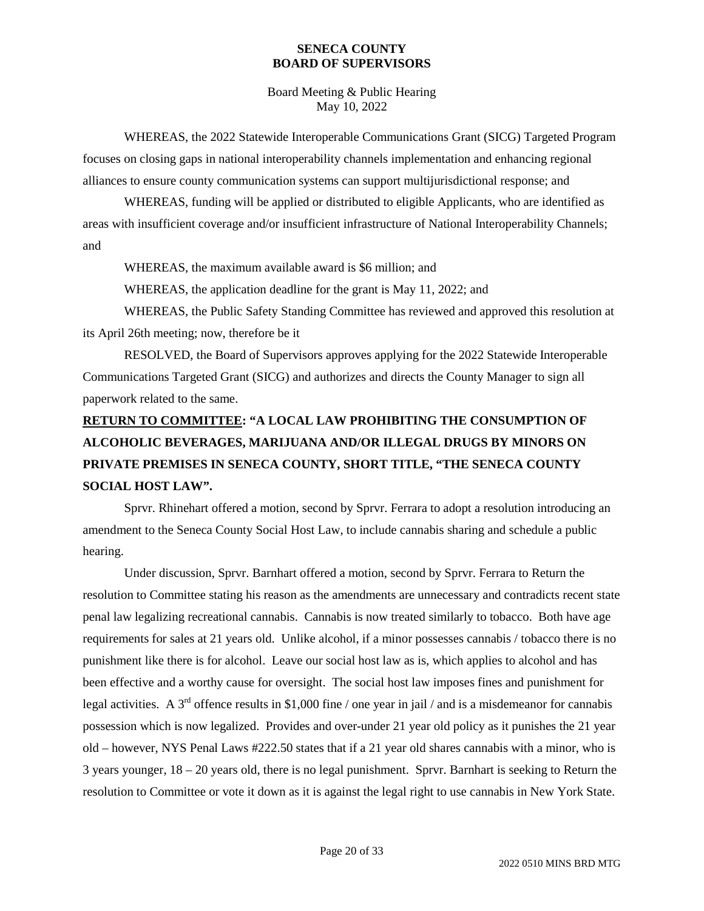Board Meeting & Public Hearing May 10, 2022

WHEREAS, the 2022 Statewide Interoperable Communications Grant (SICG) Targeted Program focuses on closing gaps in national interoperability channels implementation and enhancing regional alliances to ensure county communication systems can support multijurisdictional response; and

WHEREAS, funding will be applied or distributed to eligible Applicants, who are identified as areas with insufficient coverage and/or insufficient infrastructure of National Interoperability Channels; and

WHEREAS, the maximum available award is \$6 million; and

WHEREAS, the application deadline for the grant is May 11, 2022; and

WHEREAS, the Public Safety Standing Committee has reviewed and approved this resolution at its April 26th meeting; now, therefore be it

RESOLVED, the Board of Supervisors approves applying for the 2022 Statewide Interoperable Communications Targeted Grant (SICG) and authorizes and directs the County Manager to sign all paperwork related to the same.

# **RETURN TO COMMITTEE: "A LOCAL LAW PROHIBITING THE CONSUMPTION OF ALCOHOLIC BEVERAGES, MARIJUANA AND/OR ILLEGAL DRUGS BY MINORS ON PRIVATE PREMISES IN SENECA COUNTY, SHORT TITLE, "THE SENECA COUNTY SOCIAL HOST LAW".**

Sprvr. Rhinehart offered a motion, second by Sprvr. Ferrara to adopt a resolution introducing an amendment to the Seneca County Social Host Law, to include cannabis sharing and schedule a public hearing.

Under discussion, Sprvr. Barnhart offered a motion, second by Sprvr. Ferrara to Return the resolution to Committee stating his reason as the amendments are unnecessary and contradicts recent state penal law legalizing recreational cannabis. Cannabis is now treated similarly to tobacco. Both have age requirements for sales at 21 years old. Unlike alcohol, if a minor possesses cannabis / tobacco there is no punishment like there is for alcohol. Leave our social host law as is, which applies to alcohol and has been effective and a worthy cause for oversight. The social host law imposes fines and punishment for legal activities. A  $3<sup>rd</sup>$  offence results in \$1,000 fine / one year in jail / and is a misdemeanor for cannabis possession which is now legalized. Provides and over-under 21 year old policy as it punishes the 21 year old – however, NYS Penal Laws #222.50 states that if a 21 year old shares cannabis with a minor, who is 3 years younger, 18 – 20 years old, there is no legal punishment. Sprvr. Barnhart is seeking to Return the resolution to Committee or vote it down as it is against the legal right to use cannabis in New York State.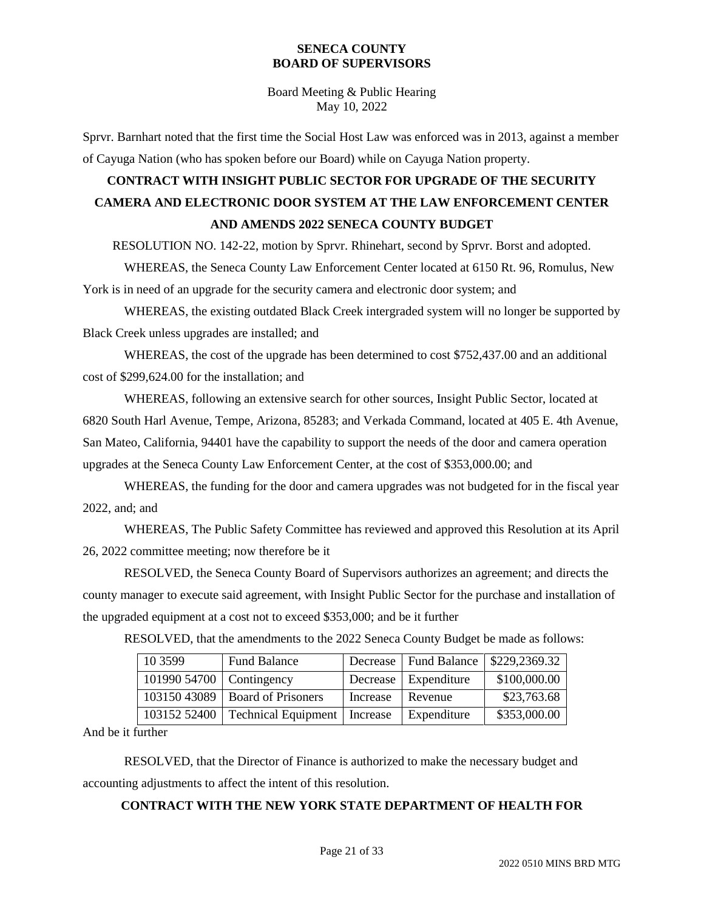Board Meeting & Public Hearing May 10, 2022

Sprvr. Barnhart noted that the first time the Social Host Law was enforced was in 2013, against a member of Cayuga Nation (who has spoken before our Board) while on Cayuga Nation property.

# **CONTRACT WITH INSIGHT PUBLIC SECTOR FOR UPGRADE OF THE SECURITY CAMERA AND ELECTRONIC DOOR SYSTEM AT THE LAW ENFORCEMENT CENTER AND AMENDS 2022 SENECA COUNTY BUDGET**

RESOLUTION NO. 142-22, motion by Sprvr. Rhinehart, second by Sprvr. Borst and adopted.

WHEREAS, the Seneca County Law Enforcement Center located at 6150 Rt. 96, Romulus, New York is in need of an upgrade for the security camera and electronic door system; and

WHEREAS, the existing outdated Black Creek intergraded system will no longer be supported by Black Creek unless upgrades are installed; and

WHEREAS, the cost of the upgrade has been determined to cost \$752,437.00 and an additional cost of \$299,624.00 for the installation; and

WHEREAS, following an extensive search for other sources, Insight Public Sector, located at 6820 South Harl Avenue, Tempe, Arizona, 85283; and Verkada Command, located at 405 E. 4th Avenue, San Mateo, California, 94401 have the capability to support the needs of the door and camera operation upgrades at the Seneca County Law Enforcement Center, at the cost of \$353,000.00; and

WHEREAS, the funding for the door and camera upgrades was not budgeted for in the fiscal year 2022, and; and

WHEREAS, The Public Safety Committee has reviewed and approved this Resolution at its April 26, 2022 committee meeting; now therefore be it

RESOLVED, the Seneca County Board of Supervisors authorizes an agreement; and directs the county manager to execute said agreement, with Insight Public Sector for the purchase and installation of the upgraded equipment at a cost not to exceed \$353,000; and be it further

| 10 3 5 9 9               | <b>Fund Balance</b>              |          | Decrease   Fund Balance | \$229,2369.32 |
|--------------------------|----------------------------------|----------|-------------------------|---------------|
| 101990 54700 Contingency |                                  |          | Decrease   Expenditure  | \$100,000.00  |
|                          | $10315043089$ Board of Prisoners | Increase | Revenue                 | \$23,763.68   |
| 103152 52400             | Technical Equipment   Increase   |          | Expenditure             | \$353,000.00  |

RESOLVED, that the amendments to the 2022 Seneca County Budget be made as follows:

And be it further

RESOLVED, that the Director of Finance is authorized to make the necessary budget and accounting adjustments to affect the intent of this resolution.

### **CONTRACT WITH THE NEW YORK STATE DEPARTMENT OF HEALTH FOR**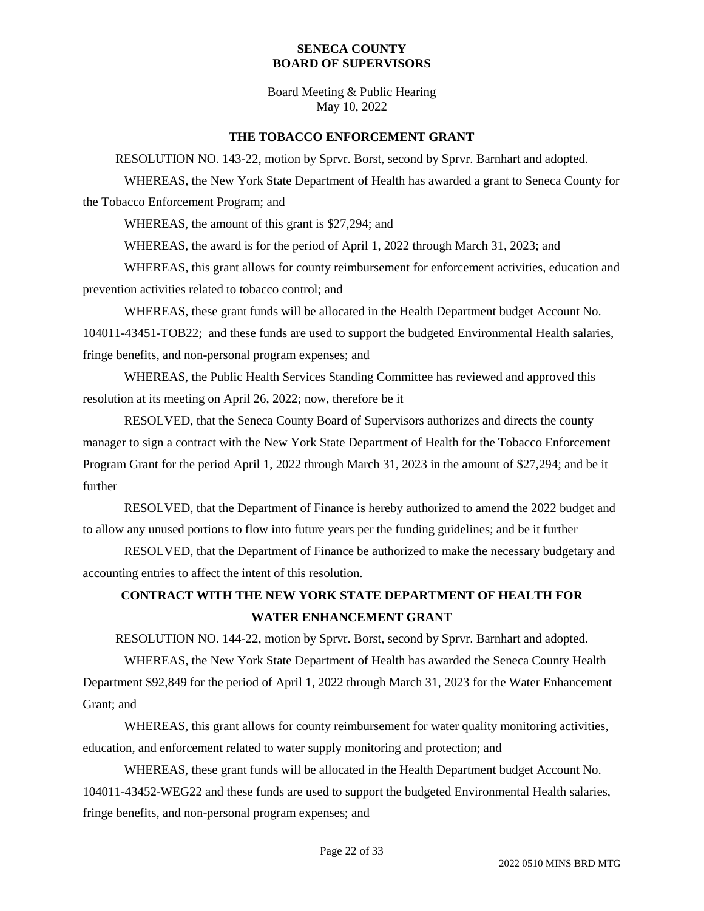Board Meeting & Public Hearing May 10, 2022

#### **THE TOBACCO ENFORCEMENT GRANT**

RESOLUTION NO. 143-22, motion by Sprvr. Borst, second by Sprvr. Barnhart and adopted. WHEREAS, the New York State Department of Health has awarded a grant to Seneca County for

the Tobacco Enforcement Program; and

WHEREAS, the amount of this grant is \$27,294; and

WHEREAS, the award is for the period of April 1, 2022 through March 31, 2023; and

WHEREAS, this grant allows for county reimbursement for enforcement activities, education and prevention activities related to tobacco control; and

WHEREAS, these grant funds will be allocated in the Health Department budget Account No. 104011-43451-TOB22; and these funds are used to support the budgeted Environmental Health salaries, fringe benefits, and non-personal program expenses; and

WHEREAS, the Public Health Services Standing Committee has reviewed and approved this resolution at its meeting on April 26, 2022; now, therefore be it

RESOLVED, that the Seneca County Board of Supervisors authorizes and directs the county manager to sign a contract with the New York State Department of Health for the Tobacco Enforcement Program Grant for the period April 1, 2022 through March 31, 2023 in the amount of \$27,294; and be it further

RESOLVED, that the Department of Finance is hereby authorized to amend the 2022 budget and to allow any unused portions to flow into future years per the funding guidelines; and be it further

RESOLVED, that the Department of Finance be authorized to make the necessary budgetary and accounting entries to affect the intent of this resolution.

## **CONTRACT WITH THE NEW YORK STATE DEPARTMENT OF HEALTH FOR WATER ENHANCEMENT GRANT**

RESOLUTION NO. 144-22, motion by Sprvr. Borst, second by Sprvr. Barnhart and adopted.

WHEREAS, the New York State Department of Health has awarded the Seneca County Health Department \$92,849 for the period of April 1, 2022 through March 31, 2023 for the Water Enhancement Grant; and

WHEREAS, this grant allows for county reimbursement for water quality monitoring activities, education, and enforcement related to water supply monitoring and protection; and

WHEREAS, these grant funds will be allocated in the Health Department budget Account No. 104011-43452-WEG22 and these funds are used to support the budgeted Environmental Health salaries, fringe benefits, and non-personal program expenses; and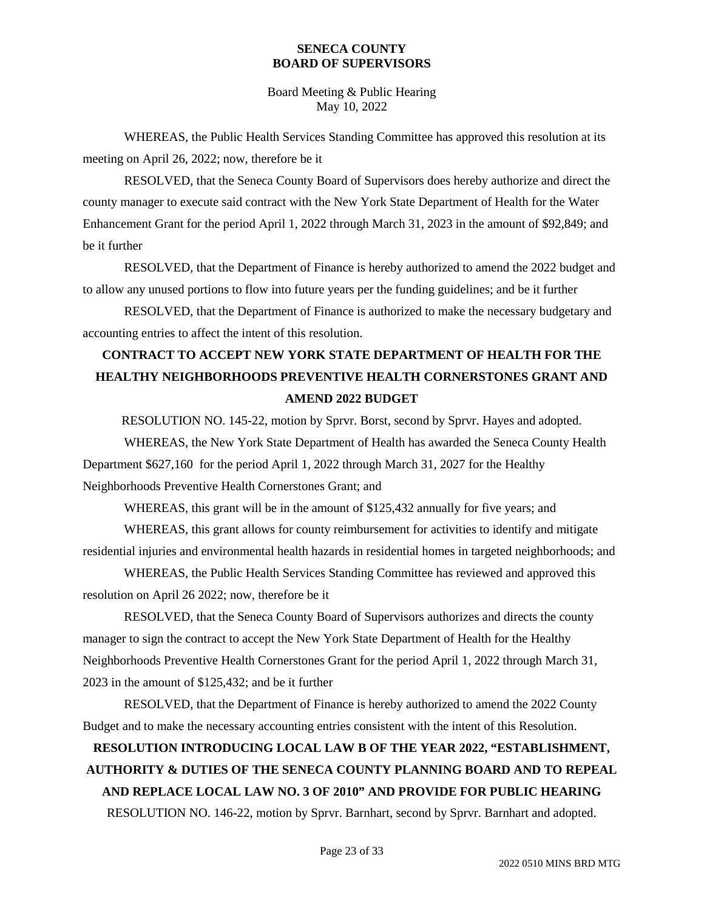Board Meeting & Public Hearing May 10, 2022

WHEREAS, the Public Health Services Standing Committee has approved this resolution at its meeting on April 26, 2022; now, therefore be it

RESOLVED, that the Seneca County Board of Supervisors does hereby authorize and direct the county manager to execute said contract with the New York State Department of Health for the Water Enhancement Grant for the period April 1, 2022 through March 31, 2023 in the amount of \$92,849; and be it further

RESOLVED, that the Department of Finance is hereby authorized to amend the 2022 budget and to allow any unused portions to flow into future years per the funding guidelines; and be it further

RESOLVED, that the Department of Finance is authorized to make the necessary budgetary and accounting entries to affect the intent of this resolution.

## **CONTRACT TO ACCEPT NEW YORK STATE DEPARTMENT OF HEALTH FOR THE HEALTHY NEIGHBORHOODS PREVENTIVE HEALTH CORNERSTONES GRANT AND AMEND 2022 BUDGET**

RESOLUTION NO. 145-22, motion by Sprvr. Borst, second by Sprvr. Hayes and adopted.

WHEREAS, the New York State Department of Health has awarded the Seneca County Health Department \$627,160 for the period April 1, 2022 through March 31, 2027 for the Healthy Neighborhoods Preventive Health Cornerstones Grant; and

WHEREAS, this grant will be in the amount of \$125,432 annually for five years; and

WHEREAS, this grant allows for county reimbursement for activities to identify and mitigate residential injuries and environmental health hazards in residential homes in targeted neighborhoods; and

WHEREAS, the Public Health Services Standing Committee has reviewed and approved this resolution on April 26 2022; now, therefore be it

RESOLVED, that the Seneca County Board of Supervisors authorizes and directs the county manager to sign the contract to accept the New York State Department of Health for the Healthy Neighborhoods Preventive Health Cornerstones Grant for the period April 1, 2022 through March 31, 2023 in the amount of \$125,432; and be it further

RESOLVED, that the Department of Finance is hereby authorized to amend the 2022 County Budget and to make the necessary accounting entries consistent with the intent of this Resolution.

# **RESOLUTION INTRODUCING LOCAL LAW B OF THE YEAR 2022, "ESTABLISHMENT, AUTHORITY & DUTIES OF THE SENECA COUNTY PLANNING BOARD AND TO REPEAL AND REPLACE LOCAL LAW NO. 3 OF 2010" AND PROVIDE FOR PUBLIC HEARING** RESOLUTION NO. 146-22, motion by Sprvr. Barnhart, second by Sprvr. Barnhart and adopted.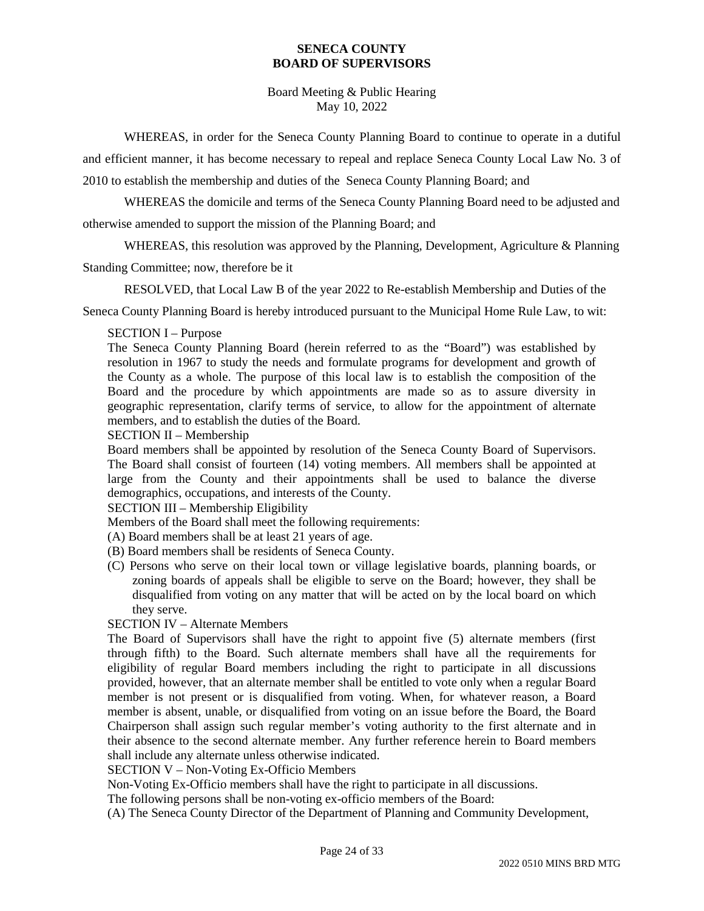Board Meeting & Public Hearing May 10, 2022

WHEREAS, in order for the Seneca County Planning Board to continue to operate in a dutiful and efficient manner, it has become necessary to repeal and replace Seneca County Local Law No. 3 of 2010 to establish the membership and duties of the Seneca County Planning Board; and

WHEREAS the domicile and terms of the Seneca County Planning Board need to be adjusted and otherwise amended to support the mission of the Planning Board; and

WHEREAS, this resolution was approved by the Planning, Development, Agriculture & Planning

Standing Committee; now, therefore be it

RESOLVED, that Local Law B of the year 2022 to Re-establish Membership and Duties of the

Seneca County Planning Board is hereby introduced pursuant to the Municipal Home Rule Law, to wit:

### SECTION I – Purpose

The Seneca County Planning Board (herein referred to as the "Board") was established by resolution in 1967 to study the needs and formulate programs for development and growth of the County as a whole. The purpose of this local law is to establish the composition of the Board and the procedure by which appointments are made so as to assure diversity in geographic representation, clarify terms of service, to allow for the appointment of alternate members, and to establish the duties of the Board.

SECTION II – Membership

Board members shall be appointed by resolution of the Seneca County Board of Supervisors. The Board shall consist of fourteen (14) voting members. All members shall be appointed at large from the County and their appointments shall be used to balance the diverse demographics, occupations, and interests of the County.

### SECTION III – Membership Eligibility

Members of the Board shall meet the following requirements:

- (A) Board members shall be at least 21 years of age.
- (B) Board members shall be residents of Seneca County.
- (C) Persons who serve on their local town or village legislative boards, planning boards, or zoning boards of appeals shall be eligible to serve on the Board; however, they shall be disqualified from voting on any matter that will be acted on by the local board on which they serve.

SECTION IV – Alternate Members

The Board of Supervisors shall have the right to appoint five (5) alternate members (first through fifth) to the Board. Such alternate members shall have all the requirements for eligibility of regular Board members including the right to participate in all discussions provided, however, that an alternate member shall be entitled to vote only when a regular Board member is not present or is disqualified from voting. When, for whatever reason, a Board member is absent, unable, or disqualified from voting on an issue before the Board, the Board Chairperson shall assign such regular member's voting authority to the first alternate and in their absence to the second alternate member. Any further reference herein to Board members shall include any alternate unless otherwise indicated.

SECTION V – Non-Voting Ex-Officio Members

Non-Voting Ex-Officio members shall have the right to participate in all discussions.

The following persons shall be non-voting ex-officio members of the Board:

(A) The Seneca County Director of the Department of Planning and Community Development,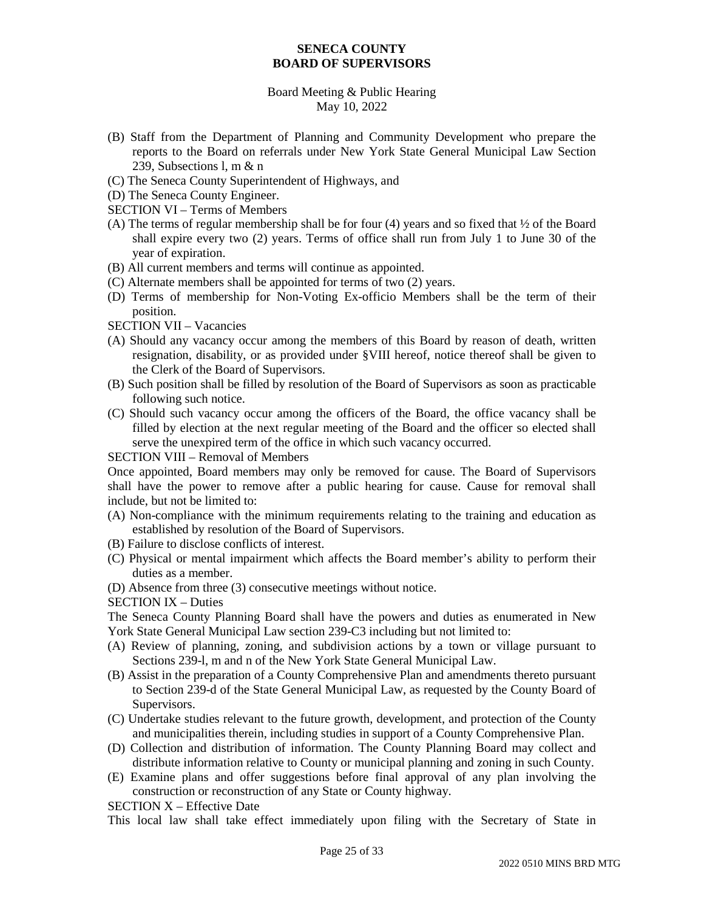### Board Meeting & Public Hearing May 10, 2022

- (B) Staff from the Department of Planning and Community Development who prepare the reports to the Board on referrals under New York State General Municipal Law Section 239, Subsections l, m & n
- (C) The Seneca County Superintendent of Highways, and
- (D) The Seneca County Engineer.
- SECTION VI Terms of Members
- (A) The terms of regular membership shall be for four (4) years and so fixed that  $\frac{1}{2}$  of the Board shall expire every two (2) years. Terms of office shall run from July 1 to June 30 of the year of expiration.
- (B) All current members and terms will continue as appointed.
- (C) Alternate members shall be appointed for terms of two (2) years.
- (D) Terms of membership for Non-Voting Ex-officio Members shall be the term of their position.
- SECTION VII Vacancies
- (A) Should any vacancy occur among the members of this Board by reason of death, written resignation, disability, or as provided under §VIII hereof, notice thereof shall be given to the Clerk of the Board of Supervisors.
- (B) Such position shall be filled by resolution of the Board of Supervisors as soon as practicable following such notice.
- (C) Should such vacancy occur among the officers of the Board, the office vacancy shall be filled by election at the next regular meeting of the Board and the officer so elected shall serve the unexpired term of the office in which such vacancy occurred.

#### SECTION VIII – Removal of Members

Once appointed, Board members may only be removed for cause. The Board of Supervisors shall have the power to remove after a public hearing for cause. Cause for removal shall include, but not be limited to:

- (A) Non-compliance with the minimum requirements relating to the training and education as established by resolution of the Board of Supervisors.
- (B) Failure to disclose conflicts of interest.
- (C) Physical or mental impairment which affects the Board member's ability to perform their duties as a member.
- (D) Absence from three (3) consecutive meetings without notice.
- SECTION IX Duties

The Seneca County Planning Board shall have the powers and duties as enumerated in New York State General Municipal Law section 239-C3 including but not limited to:

- (A) Review of planning, zoning, and subdivision actions by a town or village pursuant to Sections 239-l, m and n of the New York State General Municipal Law.
- (B) Assist in the preparation of a County Comprehensive Plan and amendments thereto pursuant to Section 239-d of the State General Municipal Law, as requested by the County Board of Supervisors.
- (C) Undertake studies relevant to the future growth, development, and protection of the County and municipalities therein, including studies in support of a County Comprehensive Plan.
- (D) Collection and distribution of information. The County Planning Board may collect and distribute information relative to County or municipal planning and zoning in such County.
- (E) Examine plans and offer suggestions before final approval of any plan involving the construction or reconstruction of any State or County highway.

SECTION X – Effective Date

This local law shall take effect immediately upon filing with the Secretary of State in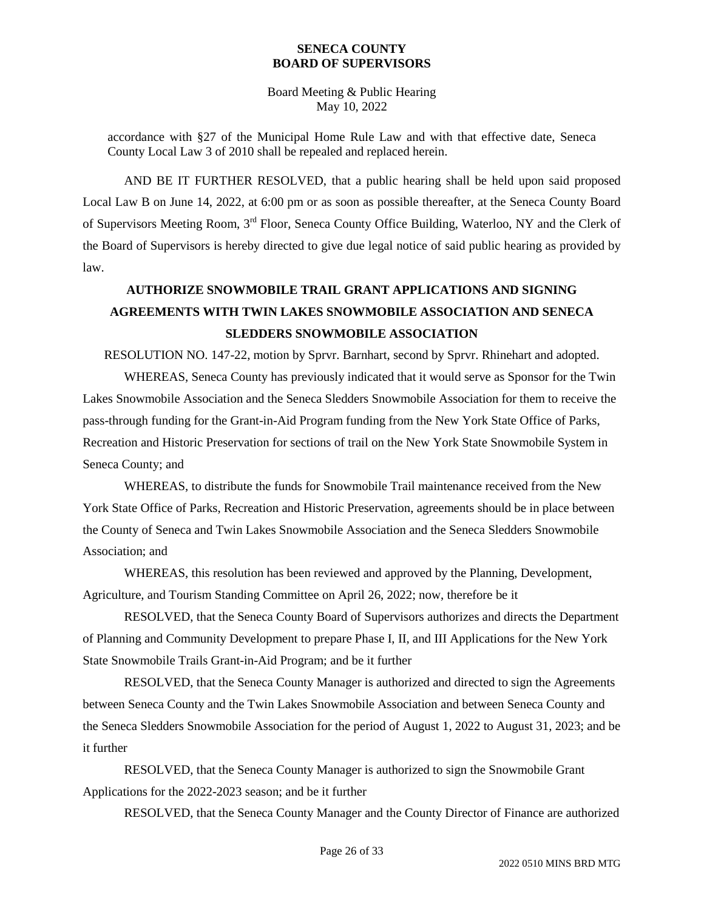Board Meeting & Public Hearing May 10, 2022

accordance with §27 of the Municipal Home Rule Law and with that effective date, Seneca County Local Law 3 of 2010 shall be repealed and replaced herein.

AND BE IT FURTHER RESOLVED, that a public hearing shall be held upon said proposed Local Law B on June 14, 2022, at 6:00 pm or as soon as possible thereafter, at the Seneca County Board of Supervisors Meeting Room, 3rd Floor, Seneca County Office Building, Waterloo, NY and the Clerk of the Board of Supervisors is hereby directed to give due legal notice of said public hearing as provided by law.

## **AUTHORIZE SNOWMOBILE TRAIL GRANT APPLICATIONS AND SIGNING AGREEMENTS WITH TWIN LAKES SNOWMOBILE ASSOCIATION AND SENECA SLEDDERS SNOWMOBILE ASSOCIATION**

RESOLUTION NO. 147-22, motion by Sprvr. Barnhart, second by Sprvr. Rhinehart and adopted.

WHEREAS, Seneca County has previously indicated that it would serve as Sponsor for the Twin Lakes Snowmobile Association and the Seneca Sledders Snowmobile Association for them to receive the pass-through funding for the Grant-in-Aid Program funding from the New York State Office of Parks, Recreation and Historic Preservation for sections of trail on the New York State Snowmobile System in Seneca County; and

WHEREAS, to distribute the funds for Snowmobile Trail maintenance received from the New York State Office of Parks, Recreation and Historic Preservation, agreements should be in place between the County of Seneca and Twin Lakes Snowmobile Association and the Seneca Sledders Snowmobile Association; and

WHEREAS, this resolution has been reviewed and approved by the Planning, Development, Agriculture, and Tourism Standing Committee on April 26, 2022; now, therefore be it

RESOLVED, that the Seneca County Board of Supervisors authorizes and directs the Department of Planning and Community Development to prepare Phase I, II, and III Applications for the New York State Snowmobile Trails Grant-in-Aid Program; and be it further

RESOLVED, that the Seneca County Manager is authorized and directed to sign the Agreements between Seneca County and the Twin Lakes Snowmobile Association and between Seneca County and the Seneca Sledders Snowmobile Association for the period of August 1, 2022 to August 31, 2023; and be it further

RESOLVED, that the Seneca County Manager is authorized to sign the Snowmobile Grant Applications for the 2022-2023 season; and be it further

RESOLVED, that the Seneca County Manager and the County Director of Finance are authorized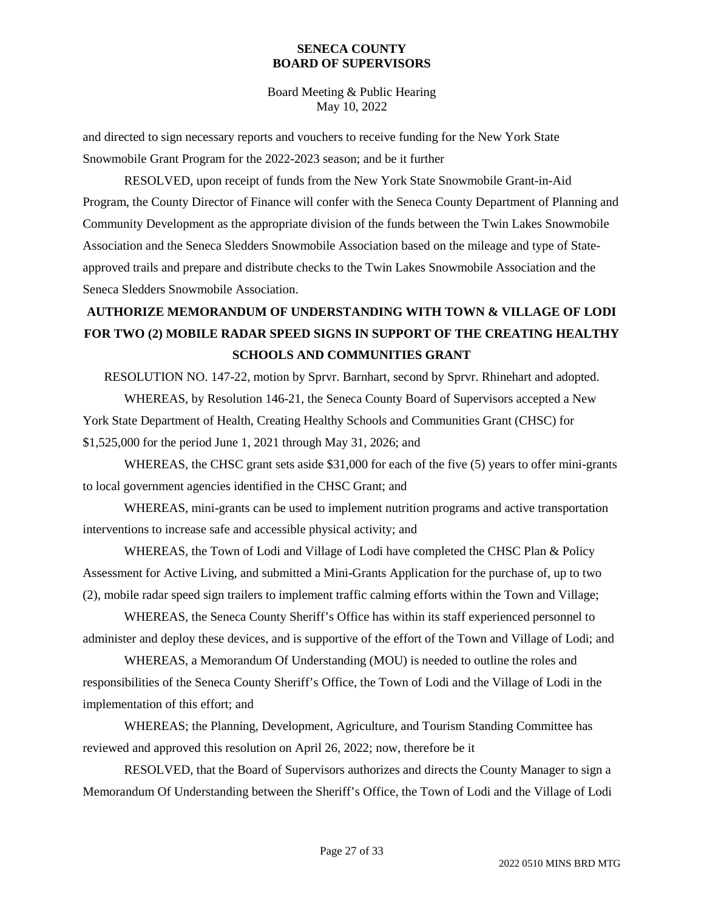Board Meeting & Public Hearing May 10, 2022

and directed to sign necessary reports and vouchers to receive funding for the New York State Snowmobile Grant Program for the 2022-2023 season; and be it further

RESOLVED, upon receipt of funds from the New York State Snowmobile Grant-in-Aid Program, the County Director of Finance will confer with the Seneca County Department of Planning and Community Development as the appropriate division of the funds between the Twin Lakes Snowmobile Association and the Seneca Sledders Snowmobile Association based on the mileage and type of Stateapproved trails and prepare and distribute checks to the Twin Lakes Snowmobile Association and the Seneca Sledders Snowmobile Association.

# **AUTHORIZE MEMORANDUM OF UNDERSTANDING WITH TOWN & VILLAGE OF LODI FOR TWO (2) MOBILE RADAR SPEED SIGNS IN SUPPORT OF THE CREATING HEALTHY SCHOOLS AND COMMUNITIES GRANT**

RESOLUTION NO. 147-22, motion by Sprvr. Barnhart, second by Sprvr. Rhinehart and adopted. WHEREAS, by Resolution 146-21, the Seneca County Board of Supervisors accepted a New York State Department of Health, Creating Healthy Schools and Communities Grant (CHSC) for \$1,525,000 for the period June 1, 2021 through May 31, 2026; and

WHEREAS, the CHSC grant sets aside \$31,000 for each of the five (5) years to offer mini-grants to local government agencies identified in the CHSC Grant; and

WHEREAS, mini-grants can be used to implement nutrition programs and active transportation interventions to increase safe and accessible physical activity; and

WHEREAS, the Town of Lodi and Village of Lodi have completed the CHSC Plan & Policy Assessment for Active Living, and submitted a Mini-Grants Application for the purchase of, up to two (2), mobile radar speed sign trailers to implement traffic calming efforts within the Town and Village;

WHEREAS, the Seneca County Sheriff's Office has within its staff experienced personnel to administer and deploy these devices, and is supportive of the effort of the Town and Village of Lodi; and

WHEREAS, a Memorandum Of Understanding (MOU) is needed to outline the roles and responsibilities of the Seneca County Sheriff's Office, the Town of Lodi and the Village of Lodi in the implementation of this effort; and

WHEREAS; the Planning, Development, Agriculture, and Tourism Standing Committee has reviewed and approved this resolution on April 26, 2022; now, therefore be it

RESOLVED, that the Board of Supervisors authorizes and directs the County Manager to sign a Memorandum Of Understanding between the Sheriff's Office, the Town of Lodi and the Village of Lodi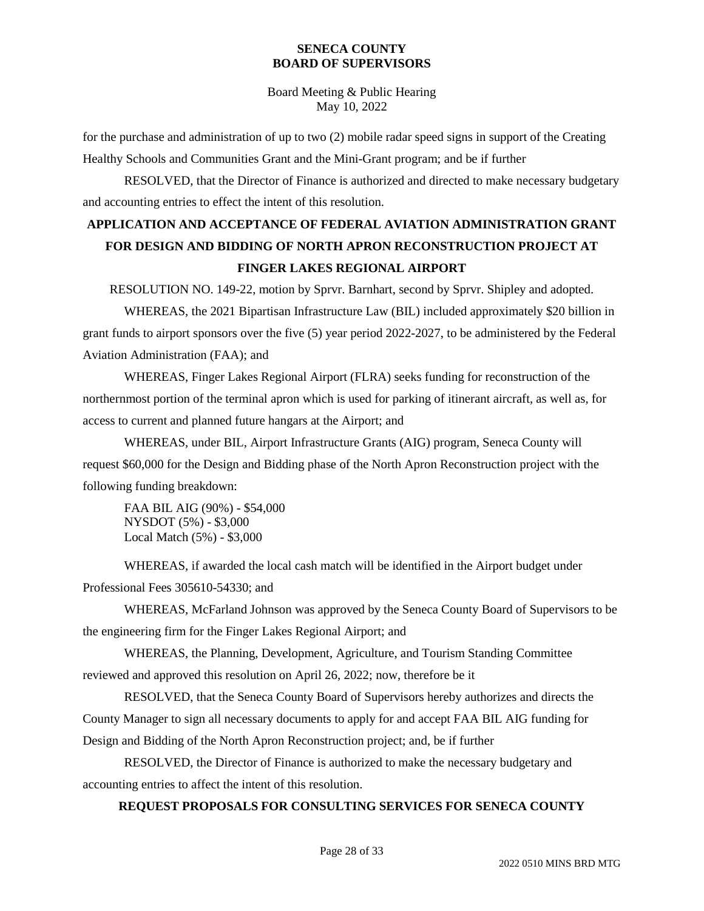Board Meeting & Public Hearing May 10, 2022

for the purchase and administration of up to two (2) mobile radar speed signs in support of the Creating Healthy Schools and Communities Grant and the Mini-Grant program; and be if further

RESOLVED, that the Director of Finance is authorized and directed to make necessary budgetary and accounting entries to effect the intent of this resolution.

# **APPLICATION AND ACCEPTANCE OF FEDERAL AVIATION ADMINISTRATION GRANT FOR DESIGN AND BIDDING OF NORTH APRON RECONSTRUCTION PROJECT AT FINGER LAKES REGIONAL AIRPORT**

RESOLUTION NO. 149-22, motion by Sprvr. Barnhart, second by Sprvr. Shipley and adopted.

WHEREAS, the 2021 Bipartisan Infrastructure Law (BIL) included approximately \$20 billion in grant funds to airport sponsors over the five (5) year period 2022-2027, to be administered by the Federal Aviation Administration (FAA); and

WHEREAS, Finger Lakes Regional Airport (FLRA) seeks funding for reconstruction of the northernmost portion of the terminal apron which is used for parking of itinerant aircraft, as well as, for access to current and planned future hangars at the Airport; and

WHEREAS, under BIL, Airport Infrastructure Grants (AIG) program, Seneca County will request \$60,000 for the Design and Bidding phase of the North Apron Reconstruction project with the following funding breakdown:

FAA BIL AIG (90%) - \$54,000 NYSDOT (5%) - \$3,000 Local Match (5%) - \$3,000

WHEREAS, if awarded the local cash match will be identified in the Airport budget under Professional Fees 305610-54330; and

WHEREAS, McFarland Johnson was approved by the Seneca County Board of Supervisors to be the engineering firm for the Finger Lakes Regional Airport; and

WHEREAS, the Planning, Development, Agriculture, and Tourism Standing Committee reviewed and approved this resolution on April 26, 2022; now, therefore be it

RESOLVED, that the Seneca County Board of Supervisors hereby authorizes and directs the County Manager to sign all necessary documents to apply for and accept FAA BIL AIG funding for Design and Bidding of the North Apron Reconstruction project; and, be if further

RESOLVED, the Director of Finance is authorized to make the necessary budgetary and accounting entries to affect the intent of this resolution.

### **REQUEST PROPOSALS FOR CONSULTING SERVICES FOR SENECA COUNTY**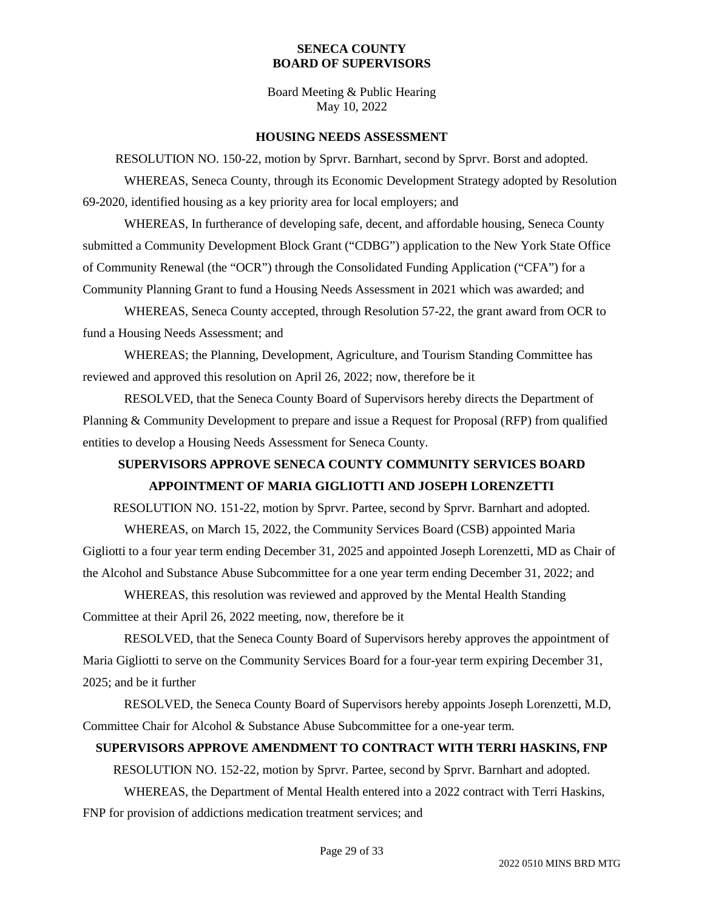Board Meeting & Public Hearing May 10, 2022

#### **HOUSING NEEDS ASSESSMENT**

RESOLUTION NO. 150-22, motion by Sprvr. Barnhart, second by Sprvr. Borst and adopted. WHEREAS, Seneca County, through its Economic Development Strategy adopted by Resolution 69-2020, identified housing as a key priority area for local employers; and

WHEREAS, In furtherance of developing safe, decent, and affordable housing, Seneca County submitted a Community Development Block Grant ("CDBG") application to the New York State Office of Community Renewal (the "OCR") through the Consolidated Funding Application ("CFA") for a Community Planning Grant to fund a Housing Needs Assessment in 2021 which was awarded; and

WHEREAS, Seneca County accepted, through Resolution 57-22, the grant award from OCR to fund a Housing Needs Assessment; and

WHEREAS; the Planning, Development, Agriculture, and Tourism Standing Committee has reviewed and approved this resolution on April 26, 2022; now, therefore be it

RESOLVED, that the Seneca County Board of Supervisors hereby directs the Department of Planning & Community Development to prepare and issue a Request for Proposal (RFP) from qualified entities to develop a Housing Needs Assessment for Seneca County.

# **SUPERVISORS APPROVE SENECA COUNTY COMMUNITY SERVICES BOARD APPOINTMENT OF MARIA GIGLIOTTI AND JOSEPH LORENZETTI**

RESOLUTION NO. 151-22, motion by Sprvr. Partee, second by Sprvr. Barnhart and adopted.

WHEREAS, on March 15, 2022, the Community Services Board (CSB) appointed Maria Gigliotti to a four year term ending December 31, 2025 and appointed Joseph Lorenzetti, MD as Chair of the Alcohol and Substance Abuse Subcommittee for a one year term ending December 31, 2022; and

WHEREAS, this resolution was reviewed and approved by the Mental Health Standing Committee at their April 26, 2022 meeting, now, therefore be it

RESOLVED, that the Seneca County Board of Supervisors hereby approves the appointment of Maria Gigliotti to serve on the Community Services Board for a four-year term expiring December 31, 2025; and be it further

RESOLVED, the Seneca County Board of Supervisors hereby appoints Joseph Lorenzetti, M.D, Committee Chair for Alcohol & Substance Abuse Subcommittee for a one-year term.

### **SUPERVISORS APPROVE AMENDMENT TO CONTRACT WITH TERRI HASKINS, FNP**

RESOLUTION NO. 152-22, motion by Sprvr. Partee, second by Sprvr. Barnhart and adopted.

WHEREAS, the Department of Mental Health entered into a 2022 contract with Terri Haskins, FNP for provision of addictions medication treatment services; and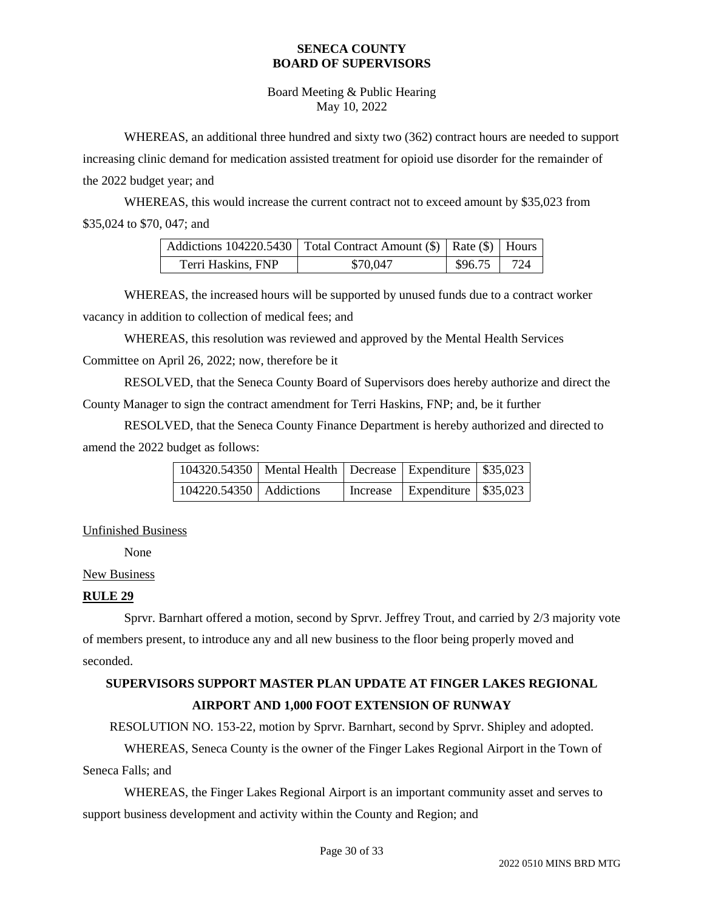Board Meeting & Public Hearing May 10, 2022

WHEREAS, an additional three hundred and sixty two (362) contract hours are needed to support increasing clinic demand for medication assisted treatment for opioid use disorder for the remainder of the 2022 budget year; and

WHEREAS, this would increase the current contract not to exceed amount by \$35,023 from \$35,024 to \$70, 047; and

|                    | Addictions 104220.5430   Total Contract Amount (\$)   Rate (\$)   Hours |                |  |
|--------------------|-------------------------------------------------------------------------|----------------|--|
| Terri Haskins, FNP | \$70,047                                                                | $$96.75$   724 |  |

WHEREAS, the increased hours will be supported by unused funds due to a contract worker vacancy in addition to collection of medical fees; and

WHEREAS, this resolution was reviewed and approved by the Mental Health Services

Committee on April 26, 2022; now, therefore be it

RESOLVED, that the Seneca County Board of Supervisors does hereby authorize and direct the County Manager to sign the contract amendment for Terri Haskins, FNP; and, be it further

RESOLVED, that the Seneca County Finance Department is hereby authorized and directed to amend the 2022 budget as follows:

| 104320.54350   Mental Health   Decrease   Expenditure   $$35,023$ |  |                                    |  |
|-------------------------------------------------------------------|--|------------------------------------|--|
| $104220.54350$   Addictions                                       |  | Increase   Expenditure   $$35,023$ |  |

Unfinished Business

None

### New Business

### **RULE 29**

Sprvr. Barnhart offered a motion, second by Sprvr. Jeffrey Trout, and carried by 2/3 majority vote of members present, to introduce any and all new business to the floor being properly moved and seconded.

## **SUPERVISORS SUPPORT MASTER PLAN UPDATE AT FINGER LAKES REGIONAL AIRPORT AND 1,000 FOOT EXTENSION OF RUNWAY**

RESOLUTION NO. 153-22, motion by Sprvr. Barnhart, second by Sprvr. Shipley and adopted.

WHEREAS, Seneca County is the owner of the Finger Lakes Regional Airport in the Town of Seneca Falls; and

WHEREAS, the Finger Lakes Regional Airport is an important community asset and serves to support business development and activity within the County and Region; and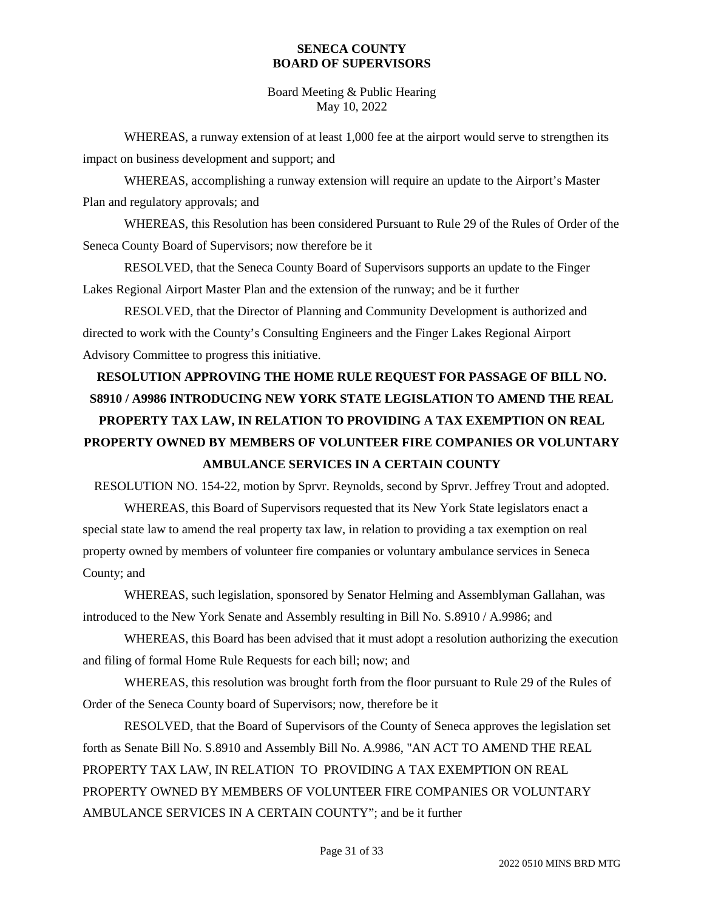Board Meeting & Public Hearing May 10, 2022

WHEREAS, a runway extension of at least 1,000 fee at the airport would serve to strengthen its impact on business development and support; and

WHEREAS, accomplishing a runway extension will require an update to the Airport's Master Plan and regulatory approvals; and

WHEREAS, this Resolution has been considered Pursuant to Rule 29 of the Rules of Order of the Seneca County Board of Supervisors; now therefore be it

RESOLVED, that the Seneca County Board of Supervisors supports an update to the Finger Lakes Regional Airport Master Plan and the extension of the runway; and be it further

RESOLVED, that the Director of Planning and Community Development is authorized and directed to work with the County's Consulting Engineers and the Finger Lakes Regional Airport Advisory Committee to progress this initiative.

# **RESOLUTION APPROVING THE HOME RULE REQUEST FOR PASSAGE OF BILL NO. S8910 / A9986 INTRODUCING NEW YORK STATE LEGISLATION TO AMEND THE REAL PROPERTY TAX LAW, IN RELATION TO PROVIDING A TAX EXEMPTION ON REAL PROPERTY OWNED BY MEMBERS OF VOLUNTEER FIRE COMPANIES OR VOLUNTARY AMBULANCE SERVICES IN A CERTAIN COUNTY**

RESOLUTION NO. 154-22, motion by Sprvr. Reynolds, second by Sprvr. Jeffrey Trout and adopted.

WHEREAS, this Board of Supervisors requested that its New York State legislators enact a special state law to amend the real property tax law, in relation to providing a tax exemption on real property owned by members of volunteer fire companies or voluntary ambulance services in Seneca County; and

WHEREAS, such legislation, sponsored by Senator Helming and Assemblyman Gallahan, was introduced to the New York Senate and Assembly resulting in Bill No. S.8910 / A.9986; and

WHEREAS, this Board has been advised that it must adopt a resolution authorizing the execution and filing of formal Home Rule Requests for each bill; now; and

WHEREAS, this resolution was brought forth from the floor pursuant to Rule 29 of the Rules of Order of the Seneca County board of Supervisors; now, therefore be it

RESOLVED, that the Board of Supervisors of the County of Seneca approves the legislation set forth as Senate Bill No. S.8910 and Assembly Bill No. A.9986, "AN ACT TO AMEND THE REAL PROPERTY TAX LAW, IN RELATION TO PROVIDING A TAX EXEMPTION ON REAL PROPERTY OWNED BY MEMBERS OF VOLUNTEER FIRE COMPANIES OR VOLUNTARY AMBULANCE SERVICES IN A CERTAIN COUNTY"; and be it further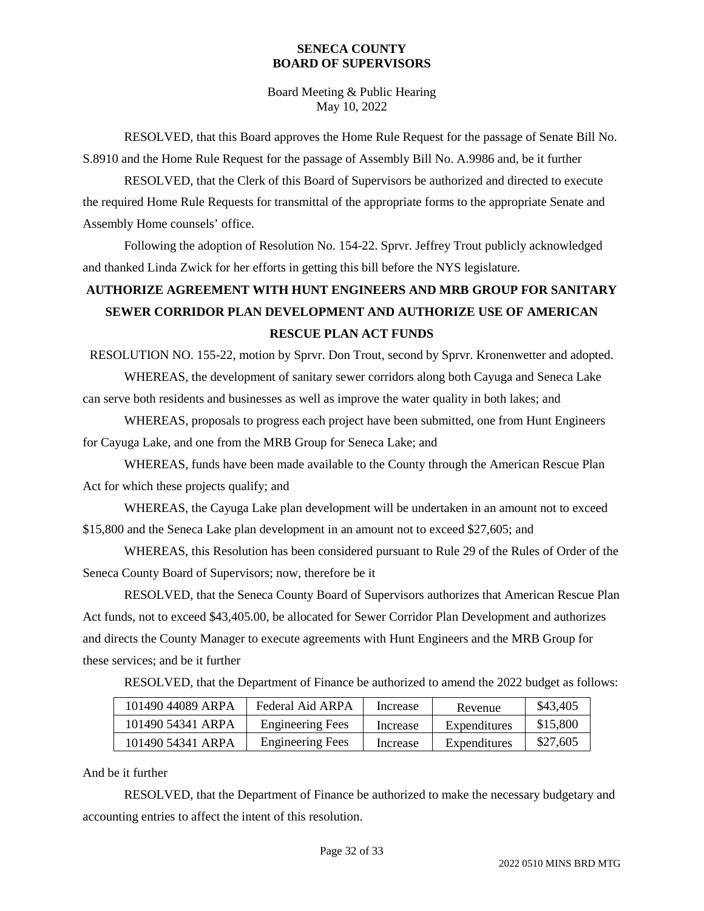Board Meeting & Public Hearing May 10, 2022

RESOLVED, that this Board approves the Home Rule Request for the passage of Senate Bill No. S.8910 and the Home Rule Request for the passage of Assembly Bill No. A.9986 and, be it further

RESOLVED, that the Clerk of this Board of Supervisors be authorized and directed to execute the required Home Rule Requests for transmittal of the appropriate forms to the appropriate Senate and Assembly Home counsels' office.

Following the adoption of Resolution No. 154-22. Sprvr. Jeffrey Trout publicly acknowledged and thanked Linda Zwick for her efforts in getting this bill before the NYS legislature.

# **AUTHORIZE AGREEMENT WITH HUNT ENGINEERS AND MRB GROUP FOR SANITARY SEWER CORRIDOR PLAN DEVELOPMENT AND AUTHORIZE USE OF AMERICAN RESCUE PLAN ACT FUNDS**

RESOLUTION NO. 155-22, motion by Sprvr. Don Trout, second by Sprvr. Kronenwetter and adopted.

WHEREAS, the development of sanitary sewer corridors along both Cayuga and Seneca Lake can serve both residents and businesses as well as improve the water quality in both lakes; and

WHEREAS, proposals to progress each project have been submitted, one from Hunt Engineers for Cayuga Lake, and one from the MRB Group for Seneca Lake; and

WHEREAS, funds have been made available to the County through the American Rescue Plan Act for which these projects qualify; and

WHEREAS, the Cayuga Lake plan development will be undertaken in an amount not to exceed \$15,800 and the Seneca Lake plan development in an amount not to exceed \$27,605; and

WHEREAS, this Resolution has been considered pursuant to Rule 29 of the Rules of Order of the Seneca County Board of Supervisors; now, therefore be it

RESOLVED, that the Seneca County Board of Supervisors authorizes that American Rescue Plan Act funds, not to exceed \$43,405.00, be allocated for Sewer Corridor Plan Development and authorizes and directs the County Manager to execute agreements with Hunt Engineers and the MRB Group for these services; and be it further

RESOLVED, that the Department of Finance be authorized to amend the 2022 budget as follows:

| 101490 44089 ARPA | Federal Aid ARPA        | Increase | Revenue      | \$43,405 |
|-------------------|-------------------------|----------|--------------|----------|
| 101490 54341 ARPA | <b>Engineering Fees</b> | Increase | Expenditures | \$15,800 |
| 101490 54341 ARPA | <b>Engineering Fees</b> | Increase | Expenditures | \$27,605 |

### And be it further

RESOLVED, that the Department of Finance be authorized to make the necessary budgetary and accounting entries to affect the intent of this resolution.